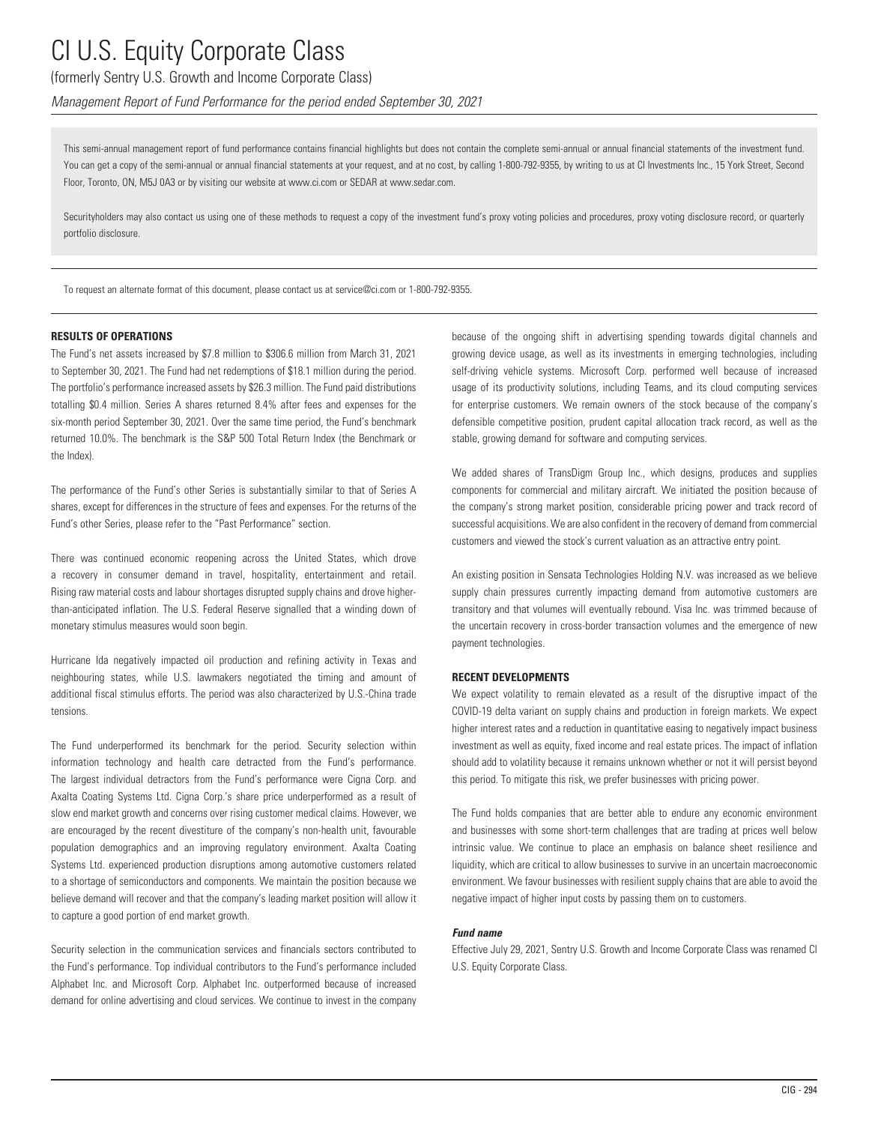### (formerly Sentry U.S. Growth and Income Corporate Class)

*Management Report of Fund Performance for the period ended September 30, 2021*

This semi-annual management report of fund performance contains financial highlights but does not contain the complete semi-annual or annual financial statements of the investment fund. You can get a copy of the semi-annual or annual financial statements at your request, and at no cost, by calling 1-800-792-9355, by writing to us at CI Investments Inc., 15 York Street, Second Floor, Toronto, ON, M5J 0A3 or by visiting our website at www.ci.com or SEDAR at www.sedar.com.

Securityholders may also contact us using one of these methods to request a copy of the investment fund's proxy voting policies and procedures, proxy voting disclosure record, or quarterly portfolio disclosure.

To request an alternate format of this document, please contact us at service@ci.com or 1-800-792-9355.

#### **RESULTS OF OPERATIONS**

The Fund's net assets increased by \$7.8 million to \$306.6 million from March 31, 2021 to September 30, 2021. The Fund had net redemptions of \$18.1 million during the period. The portfolio's performance increased assets by \$26.3 million. The Fund paid distributions totalling \$0.4 million. Series A shares returned 8.4% after fees and expenses for the six-month period September 30, 2021. Over the same time period, the Fund's benchmark returned 10.0%. The benchmark is the S&P 500 Total Return Index (the Benchmark or the Index).

The performance of the Fund's other Series is substantially similar to that of Series A shares, except for differences in the structure of fees and expenses. For the returns of the Fund's other Series, please refer to the "Past Performance" section.

There was continued economic reopening across the United States, which drove a recovery in consumer demand in travel, hospitality, entertainment and retail. Rising raw material costs and labour shortages disrupted supply chains and drove higherthan-anticipated inflation. The U.S. Federal Reserve signalled that a winding down of monetary stimulus measures would soon begin.

Hurricane Ida negatively impacted oil production and refining activity in Texas and neighbouring states, while U.S. lawmakers negotiated the timing and amount of additional fiscal stimulus efforts. The period was also characterized by U.S.-China trade tensions.

The Fund underperformed its benchmark for the period. Security selection within information technology and health care detracted from the Fund's performance. The largest individual detractors from the Fund's performance were Cigna Corp. and Axalta Coating Systems Ltd. Cigna Corp.'s share price underperformed as a result of slow end market growth and concerns over rising customer medical claims. However, we are encouraged by the recent divestiture of the company's non-health unit, favourable population demographics and an improving regulatory environment. Axalta Coating Systems Ltd. experienced production disruptions among automotive customers related to a shortage of semiconductors and components. We maintain the position because we believe demand will recover and that the company's leading market position will allow it to capture a good portion of end market growth.

Security selection in the communication services and financials sectors contributed to the Fund's performance. Top individual contributors to the Fund's performance included Alphabet Inc. and Microsoft Corp. Alphabet Inc. outperformed because of increased demand for online advertising and cloud services. We continue to invest in the company because of the ongoing shift in advertising spending towards digital channels and growing device usage, as well as its investments in emerging technologies, including self-driving vehicle systems. Microsoft Corp. performed well because of increased usage of its productivity solutions, including Teams, and its cloud computing services for enterprise customers. We remain owners of the stock because of the company's defensible competitive position, prudent capital allocation track record, as well as the stable, growing demand for software and computing services.

We added shares of TransDigm Group Inc., which designs, produces and supplies components for commercial and military aircraft. We initiated the position because of the company's strong market position, considerable pricing power and track record of successful acquisitions. We are also confident in the recovery of demand from commercial customers and viewed the stock's current valuation as an attractive entry point.

An existing position in Sensata Technologies Holding N.V. was increased as we believe supply chain pressures currently impacting demand from automotive customers are transitory and that volumes will eventually rebound. Visa Inc. was trimmed because of the uncertain recovery in cross-border transaction volumes and the emergence of new payment technologies.

#### **RECENT DEVELOPMENTS**

We expect volatility to remain elevated as a result of the disruptive impact of the COVID-19 delta variant on supply chains and production in foreign markets. We expect higher interest rates and a reduction in quantitative easing to negatively impact business investment as well as equity, fixed income and real estate prices. The impact of inflation should add to volatility because it remains unknown whether or not it will persist beyond this period. To mitigate this risk, we prefer businesses with pricing power.

The Fund holds companies that are better able to endure any economic environment and businesses with some short-term challenges that are trading at prices well below intrinsic value. We continue to place an emphasis on balance sheet resilience and liquidity, which are critical to allow businesses to survive in an uncertain macroeconomic environment. We favour businesses with resilient supply chains that are able to avoid the negative impact of higher input costs by passing them on to customers.

#### *Fund name*

Effective July 29, 2021, Sentry U.S. Growth and Income Corporate Class was renamed CI U.S. Equity Corporate Class.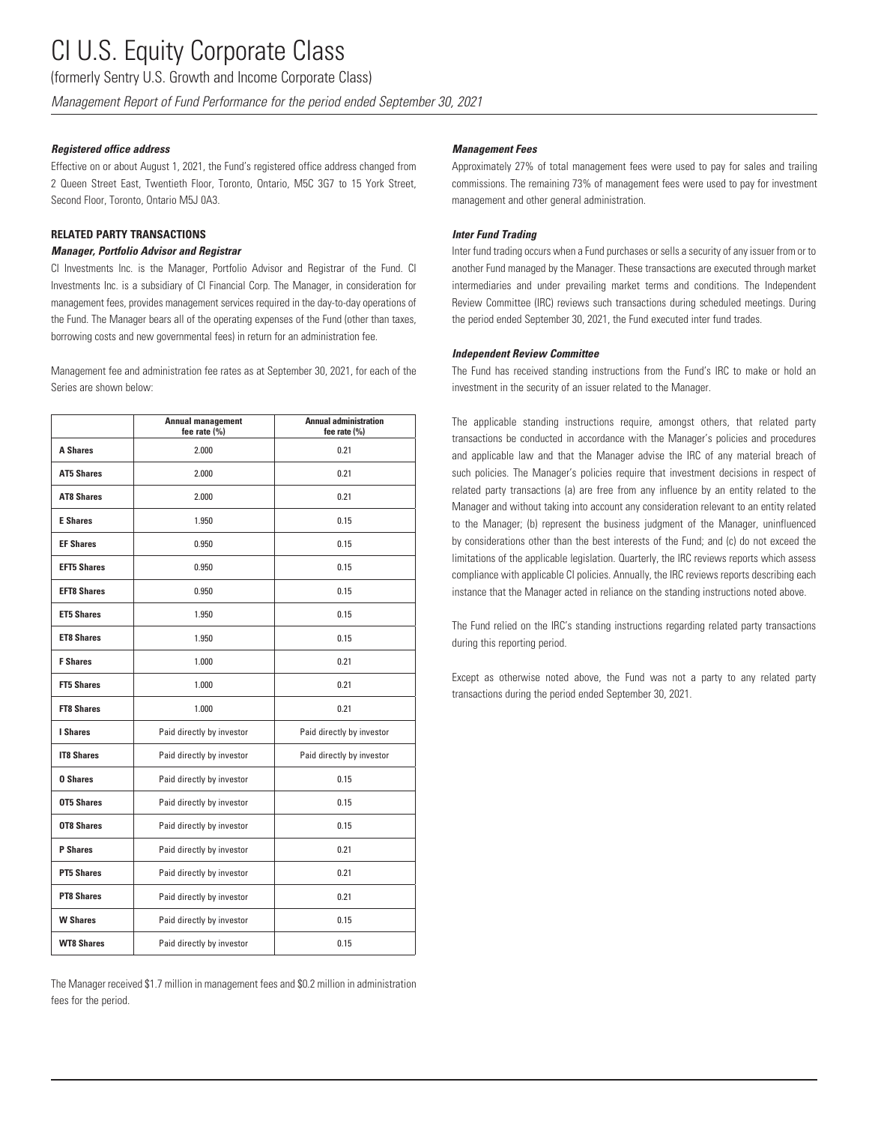(formerly Sentry U.S. Growth and Income Corporate Class)

*Management Report of Fund Performance for the period ended September 30, 2021*

#### *Registered office address*

Effective on or about August 1, 2021, the Fund's registered office address changed from 2 Queen Street East, Twentieth Floor, Toronto, Ontario, M5C 3G7 to 15 York Street, Second Floor, Toronto, Ontario M5J 0A3.

#### **RELATED PARTY TRANSACTIONS**

#### *Manager, Portfolio Advisor and Registrar*

CI Investments Inc. is the Manager, Portfolio Advisor and Registrar of the Fund. CI Investments Inc. is a subsidiary of CI Financial Corp. The Manager, in consideration for management fees, provides management services required in the day-to-day operations of the Fund. The Manager bears all of the operating expenses of the Fund (other than taxes, borrowing costs and new governmental fees) in return for an administration fee.

Management fee and administration fee rates as at September 30, 2021, for each of the Series are shown below:

|                    | <b>Annual management</b><br>fee rate (%) | <b>Annual administration</b><br>fee rate (%) |
|--------------------|------------------------------------------|----------------------------------------------|
| <b>A Shares</b>    | 2.000                                    | 0.21                                         |
| <b>AT5 Shares</b>  | 2.000                                    | 0.21                                         |
| <b>AT8 Shares</b>  | 2.000                                    | 0.21                                         |
| <b>E</b> Shares    | 1.950                                    | 0.15                                         |
| <b>EF Shares</b>   | 0.950                                    | 0.15                                         |
| <b>EFT5 Shares</b> | 0.950                                    | 0.15                                         |
| <b>EFT8 Shares</b> | 0.950                                    | 0.15                                         |
| <b>ET5 Shares</b>  | 1.950                                    | 0.15                                         |
| <b>ET8 Shares</b>  | 1.950                                    | 0.15                                         |
| <b>F</b> Shares    | 1.000                                    | 0.21                                         |
| <b>FT5 Shares</b>  | 1.000                                    | 0.21                                         |
| <b>FT8 Shares</b>  | 1.000                                    | 0.21                                         |
| I Shares           | Paid directly by investor                | Paid directly by investor                    |
| <b>IT8 Shares</b>  | Paid directly by investor                | Paid directly by investor                    |
| <b>0 Shares</b>    | Paid directly by investor                | 0.15                                         |
| <b>OT5 Shares</b>  | Paid directly by investor                | 0.15                                         |
| <b>OT8 Shares</b>  | Paid directly by investor                | 0.15                                         |
| <b>P</b> Shares    | Paid directly by investor                | 0.21                                         |
| <b>PT5 Shares</b>  | Paid directly by investor                | 0.21                                         |
| <b>PT8 Shares</b>  | Paid directly by investor                | 0.21                                         |
| <b>W Shares</b>    | Paid directly by investor                | 0.15                                         |
| <b>WT8 Shares</b>  | Paid directly by investor                | 0.15                                         |

The Manager received \$1.7 million in management fees and \$0.2 million in administration fees for the period.

#### *Management Fees*

Approximately 27% of total management fees were used to pay for sales and trailing commissions. The remaining 73% of management fees were used to pay for investment management and other general administration.

#### *Inter Fund Trading*

Inter fund trading occurs when a Fund purchases or sells a security of any issuer from or to another Fund managed by the Manager. These transactions are executed through market intermediaries and under prevailing market terms and conditions. The Independent Review Committee (IRC) reviews such transactions during scheduled meetings. During the period ended September 30, 2021, the Fund executed inter fund trades.

#### *Independent Review Committee*

The Fund has received standing instructions from the Fund's IRC to make or hold an investment in the security of an issuer related to the Manager.

The applicable standing instructions require, amongst others, that related party transactions be conducted in accordance with the Manager's policies and procedures and applicable law and that the Manager advise the IRC of any material breach of such policies. The Manager's policies require that investment decisions in respect of related party transactions (a) are free from any influence by an entity related to the Manager and without taking into account any consideration relevant to an entity related to the Manager; (b) represent the business judgment of the Manager, uninfluenced by considerations other than the best interests of the Fund; and (c) do not exceed the limitations of the applicable legislation. Quarterly, the IRC reviews reports which assess compliance with applicable CI policies. Annually, the IRC reviews reports describing each instance that the Manager acted in reliance on the standing instructions noted above.

The Fund relied on the IRC's standing instructions regarding related party transactions during this reporting period.

Except as otherwise noted above, the Fund was not a party to any related party transactions during the period ended September 30, 2021.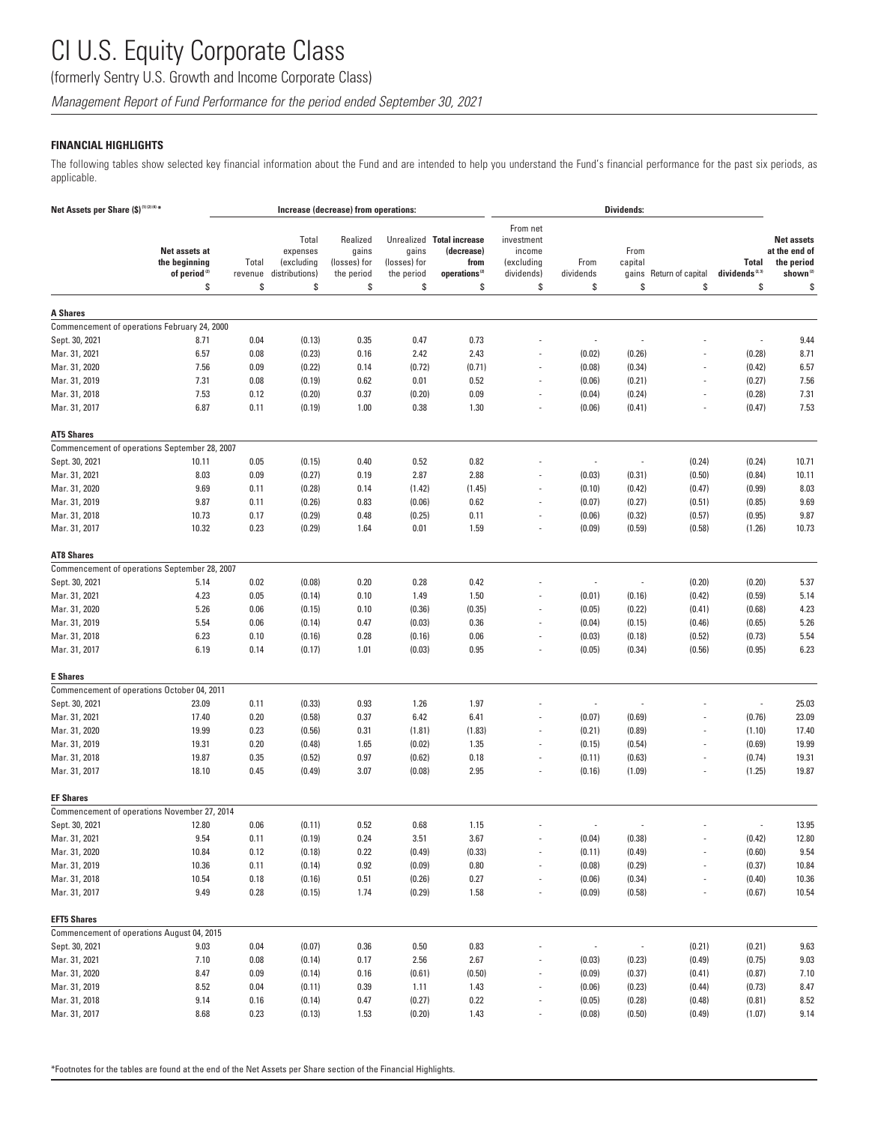(formerly Sentry U.S. Growth and Income Corporate Class)

*Management Report of Fund Performance for the period ended September 30, 2021*

#### **FINANCIAL HIGHLIGHTS**

The following tables show selected key financial information about the Fund and are intended to help you understand the Fund's financial performance for the past six periods, as applicable.

| Net Assets per Share (\$) <sup>(1)(2)(4)*</sup> |                                                                  |                        |                                                         | Increase (decrease) from operations:                  |                                           |                                                                                    |                                                                    |                          | <b>Dividends:</b>              |                         |                                           |                                                                                |
|-------------------------------------------------|------------------------------------------------------------------|------------------------|---------------------------------------------------------|-------------------------------------------------------|-------------------------------------------|------------------------------------------------------------------------------------|--------------------------------------------------------------------|--------------------------|--------------------------------|-------------------------|-------------------------------------------|--------------------------------------------------------------------------------|
|                                                 | Net assets at<br>the beginning<br>of period <sup>(2)</sup><br>\$ | Total<br>revenue<br>\$ | Total<br>expenses<br>(excluding<br>distributions)<br>\$ | Realized<br>gains<br>(losses) for<br>the period<br>\$ | gains<br>(losses) for<br>the period<br>\$ | Unrealized Total increase<br>(decrease)<br>from<br>operations <sup>(2)</sup><br>\$ | From net<br>investment<br>income<br>(excluding<br>dividends)<br>\$ | From<br>dividends<br>\$  | From<br>capital<br>gains<br>\$ | Return of capital<br>\$ | Total<br>dividends <sup>(2,3)</sup><br>\$ | <b>Net assets</b><br>at the end of<br>the period<br>shown <sup>(2)</sup><br>\$ |
|                                                 |                                                                  |                        |                                                         |                                                       |                                           |                                                                                    |                                                                    |                          |                                |                         |                                           |                                                                                |
| <b>A Shares</b>                                 |                                                                  |                        |                                                         |                                                       |                                           |                                                                                    |                                                                    |                          |                                |                         |                                           |                                                                                |
|                                                 | Commencement of operations February 24, 2000                     |                        |                                                         |                                                       |                                           |                                                                                    |                                                                    |                          |                                |                         |                                           |                                                                                |
| Sept. 30, 2021                                  | 8.71                                                             | 0.04                   | (0.13)                                                  | 0.35                                                  | 0.47                                      | 0.73                                                                               |                                                                    | $\overline{a}$           |                                |                         | $\overline{\phantom{a}}$                  | 9.44                                                                           |
| Mar. 31, 2021                                   | 6.57                                                             | 0.08                   | (0.23)                                                  | 0.16                                                  | 2.42                                      | 2.43                                                                               |                                                                    | (0.02)                   | (0.26)                         |                         | (0.28)                                    | 8.71                                                                           |
| Mar. 31, 2020                                   | 7.56                                                             | 0.09                   | (0.22)                                                  | 0.14                                                  | (0.72)                                    | (0.71)                                                                             |                                                                    | (0.08)                   | (0.34)                         |                         | (0.42)                                    | 6.57                                                                           |
| Mar. 31, 2019                                   | 7.31                                                             | 0.08                   | (0.19)                                                  | 0.62                                                  | 0.01                                      | 0.52                                                                               |                                                                    | (0.06)                   | (0.21)                         |                         | (0.27)                                    | 7.56                                                                           |
| Mar. 31, 2018                                   | 7.53                                                             | 0.12                   | (0.20)                                                  | 0.37                                                  | (0.20)                                    | 0.09                                                                               |                                                                    | (0.04)                   | (0.24)                         |                         | (0.28)                                    | 7.31                                                                           |
| Mar. 31, 2017                                   | 6.87                                                             | 0.11                   | (0.19)                                                  | 1.00                                                  | 0.38                                      | 1.30                                                                               |                                                                    | (0.06)                   | (0.41)                         |                         | (0.47)                                    | 7.53                                                                           |
| <b>AT5 Shares</b>                               |                                                                  |                        |                                                         |                                                       |                                           |                                                                                    |                                                                    |                          |                                |                         |                                           |                                                                                |
|                                                 | Commencement of operations September 28, 2007                    |                        |                                                         |                                                       |                                           |                                                                                    |                                                                    |                          |                                |                         |                                           |                                                                                |
| Sept. 30, 2021                                  | 10.11                                                            | 0.05                   | (0.15)                                                  | 0.40                                                  | 0.52                                      | 0.82                                                                               |                                                                    | $\overline{a}$           |                                | (0.24)                  | (0.24)                                    | 10.71                                                                          |
| Mar. 31, 2021                                   | 8.03                                                             | 0.09                   | (0.27)                                                  | 0.19                                                  | 2.87                                      | 2.88                                                                               |                                                                    | (0.03)                   | (0.31)                         | (0.50)                  | (0.84)                                    | 10.11                                                                          |
| Mar. 31, 2020                                   | 9.69                                                             | 0.11                   | (0.28)                                                  | 0.14                                                  | (1.42)                                    | (1.45)                                                                             |                                                                    | (0.10)                   | (0.42)                         | (0.47)                  | (0.99)                                    | 8.03                                                                           |
| Mar. 31, 2019                                   | 9.87                                                             | 0.11                   | (0.26)                                                  | 0.83                                                  | (0.06)                                    | 0.62                                                                               | $\overline{\phantom{a}}$                                           | (0.07)                   | (0.27)                         | (0.51)                  | (0.85)                                    | 9.69                                                                           |
| Mar. 31, 2018                                   | 10.73                                                            | 0.17                   | (0.29)                                                  | 0.48                                                  | (0.25)                                    | 0.11                                                                               |                                                                    | (0.06)                   | (0.32)                         | (0.57)                  | (0.95)                                    | 9.87                                                                           |
| Mar. 31, 2017                                   | 10.32                                                            | 0.23                   | (0.29)                                                  | 1.64                                                  | 0.01                                      | 1.59                                                                               | $\overline{\phantom{a}}$                                           | (0.09)                   | (0.59)                         | (0.58)                  | (1.26)                                    | 10.73                                                                          |
| <b>AT8 Shares</b>                               |                                                                  |                        |                                                         |                                                       |                                           |                                                                                    |                                                                    |                          |                                |                         |                                           |                                                                                |
|                                                 | Commencement of operations September 28, 2007                    |                        |                                                         |                                                       |                                           |                                                                                    |                                                                    |                          |                                |                         |                                           |                                                                                |
| Sept. 30, 2021                                  | 5.14                                                             | 0.02                   | (0.08)                                                  | 0.20                                                  | 0.28                                      | 0.42                                                                               |                                                                    | $\overline{a}$           | ÷                              | (0.20)                  | (0.20)                                    | 5.37                                                                           |
| Mar. 31, 2021                                   | 4.23                                                             | 0.05                   | (0.14)                                                  | 0.10                                                  | 1.49                                      | 1.50                                                                               |                                                                    | (0.01)                   | (0.16)                         | (0.42)                  | (0.59)                                    | 5.14                                                                           |
| Mar. 31, 2020                                   | 5.26                                                             | 0.06                   | (0.15)                                                  | 0.10                                                  | (0.36)                                    | (0.35)                                                                             |                                                                    | (0.05)                   | (0.22)                         | (0.41)                  | (0.68)                                    | 4.23                                                                           |
| Mar. 31, 2019                                   | 5.54                                                             | 0.06                   | (0.14)                                                  | 0.47                                                  | (0.03)                                    | 0.36                                                                               |                                                                    | (0.04)                   | (0.15)                         | (0.46)                  | (0.65)                                    | 5.26                                                                           |
| Mar. 31, 2018                                   | 6.23                                                             | 0.10                   | (0.16)                                                  | 0.28                                                  | (0.16)                                    | 0.06                                                                               |                                                                    | (0.03)                   | (0.18)                         | (0.52)                  | (0.73)                                    | 5.54                                                                           |
| Mar. 31, 2017                                   | 6.19                                                             | 0.14                   | (0.17)                                                  | 1.01                                                  | (0.03)                                    | 0.95                                                                               |                                                                    | (0.05)                   | (0.34)                         | (0.56)                  | (0.95)                                    | 6.23                                                                           |
| <b>E</b> Shares                                 |                                                                  |                        |                                                         |                                                       |                                           |                                                                                    |                                                                    |                          |                                |                         |                                           |                                                                                |
|                                                 | Commencement of operations October 04, 2011                      |                        |                                                         |                                                       |                                           |                                                                                    |                                                                    |                          |                                |                         |                                           |                                                                                |
| Sept. 30, 2021                                  | 23.09                                                            | 0.11                   | (0.33)                                                  | 0.93                                                  | 1.26                                      | 1.97                                                                               |                                                                    | $\overline{\phantom{a}}$ |                                |                         | $\overline{\phantom{a}}$                  | 25.03                                                                          |
| Mar. 31, 2021                                   | 17.40                                                            | 0.20                   | (0.58)                                                  | 0.37                                                  | 6.42                                      | 6.41                                                                               |                                                                    | (0.07)                   | (0.69)                         |                         | (0.76)                                    | 23.09                                                                          |
| Mar. 31, 2020                                   | 19.99                                                            | 0.23                   | (0.56)                                                  | 0.31                                                  | (1.81)                                    | (1.83)                                                                             | $\overline{\phantom{a}}$                                           | (0.21)                   | (0.89)                         |                         | (1.10)                                    | 17.40                                                                          |
| Mar. 31, 2019                                   | 19.31                                                            | 0.20                   | (0.48)                                                  | 1.65                                                  | (0.02)                                    | 1.35                                                                               |                                                                    | (0.15)                   | (0.54)                         |                         | (0.69)                                    | 19.99                                                                          |
| Mar. 31, 2018                                   | 19.87                                                            | 0.35                   | (0.52)                                                  | 0.97                                                  | (0.62)                                    | 0.18                                                                               | $\overline{\phantom{a}}$                                           | (0.11)                   | (0.63)                         |                         | (0.74)                                    | 19.31                                                                          |
| Mar. 31, 2017                                   | 18.10                                                            | 0.45                   | (0.49)                                                  | 3.07                                                  | (0.08)                                    | 2.95                                                                               |                                                                    | (0.16)                   | (1.09)                         |                         | (1.25)                                    | 19.87                                                                          |
| <b>EF Shares</b>                                |                                                                  |                        |                                                         |                                                       |                                           |                                                                                    |                                                                    |                          |                                |                         |                                           |                                                                                |
|                                                 | Commencement of operations November 27, 2014                     |                        |                                                         |                                                       |                                           |                                                                                    |                                                                    |                          |                                |                         |                                           |                                                                                |
| Sept. 30, 2021                                  | 12.80                                                            | 0.06                   | (0.11)                                                  | 0.52                                                  | 0.68                                      | 1.15                                                                               |                                                                    |                          |                                |                         |                                           | 13.95                                                                          |
| Mar. 31, 2021                                   | 9.54                                                             | 0.11                   | (0.19)                                                  | 0.24                                                  | 3.51                                      | 3.67                                                                               |                                                                    | (0.04)                   | (0.38)                         |                         | (0.42)                                    | 12.80                                                                          |
| Mar. 31, 2020                                   | 10.84                                                            | 0.12                   | (0.18)                                                  | 0.22                                                  | (0.49)                                    | (0.33)                                                                             |                                                                    | (0.11)                   | (0.49)                         |                         | (0.60)                                    | 9.54                                                                           |
| Mar. 31, 2019                                   | 10.36                                                            | 0.11                   | (0.14)                                                  | 0.92                                                  | (0.09)                                    | 0.80                                                                               |                                                                    | (0.08)                   | (0.29)                         |                         | (0.37)                                    | 10.84                                                                          |
| Mar. 31, 2018                                   | 10.54                                                            | 0.18                   | (0.16)                                                  | 0.51                                                  | (0.26)                                    | 0.27                                                                               |                                                                    | (0.06)                   | (0.34)                         |                         | (0.40)                                    | 10.36                                                                          |
| Mar. 31, 2017                                   | 9.49                                                             | 0.28                   | (0.15)                                                  | 1.74                                                  | (0.29)                                    | 1.58                                                                               | $\overline{\phantom{a}}$                                           | (0.09)                   | (0.58)                         |                         | (0.67)                                    | 10.54                                                                          |
| <b>EFT5 Shares</b>                              |                                                                  |                        |                                                         |                                                       |                                           |                                                                                    |                                                                    |                          |                                |                         |                                           |                                                                                |
|                                                 | Commencement of operations August 04, 2015                       |                        |                                                         |                                                       |                                           |                                                                                    |                                                                    |                          |                                |                         |                                           |                                                                                |
| Sept. 30, 2021                                  | 9.03                                                             | 0.04                   | (0.07)                                                  | 0.36                                                  | 0.50                                      | 0.83                                                                               |                                                                    | $\overline{\phantom{a}}$ |                                | (0.21)                  | (0.21)                                    | 9.63                                                                           |
| Mar. 31, 2021                                   | 7.10                                                             | 0.08                   | (0.14)                                                  | 0.17                                                  | 2.56                                      | 2.67                                                                               |                                                                    | (0.03)                   | (0.23)                         | (0.49)                  | (0.75)                                    | 9.03                                                                           |
| Mar. 31, 2020                                   | 8.47                                                             | 0.09                   | (0.14)                                                  | 0.16                                                  | (0.61)                                    | (0.50)                                                                             |                                                                    | (0.09)                   | (0.37)                         | (0.41)                  | (0.87)                                    | 7.10                                                                           |
| Mar. 31, 2019                                   | 8.52                                                             | 0.04                   | (0.11)                                                  | 0.39                                                  | 1.11                                      | 1.43                                                                               | $\overline{\phantom{a}}$                                           | (0.06)                   | (0.23)                         | (0.44)                  | (0.73)                                    | 8.47                                                                           |
| Mar. 31, 2018                                   | 9.14                                                             | 0.16                   | (0.14)                                                  | 0.47                                                  | (0.27)                                    | 0.22                                                                               |                                                                    | (0.05)                   | (0.28)                         | (0.48)                  | (0.81)                                    | 8.52                                                                           |
| Mar. 31, 2017                                   | 8.68                                                             | 0.23                   | (0.13)                                                  | 1.53                                                  | (0.20)                                    | 1.43                                                                               |                                                                    | (0.08)                   | (0.50)                         | (0.49)                  | (1.07)                                    | 9.14                                                                           |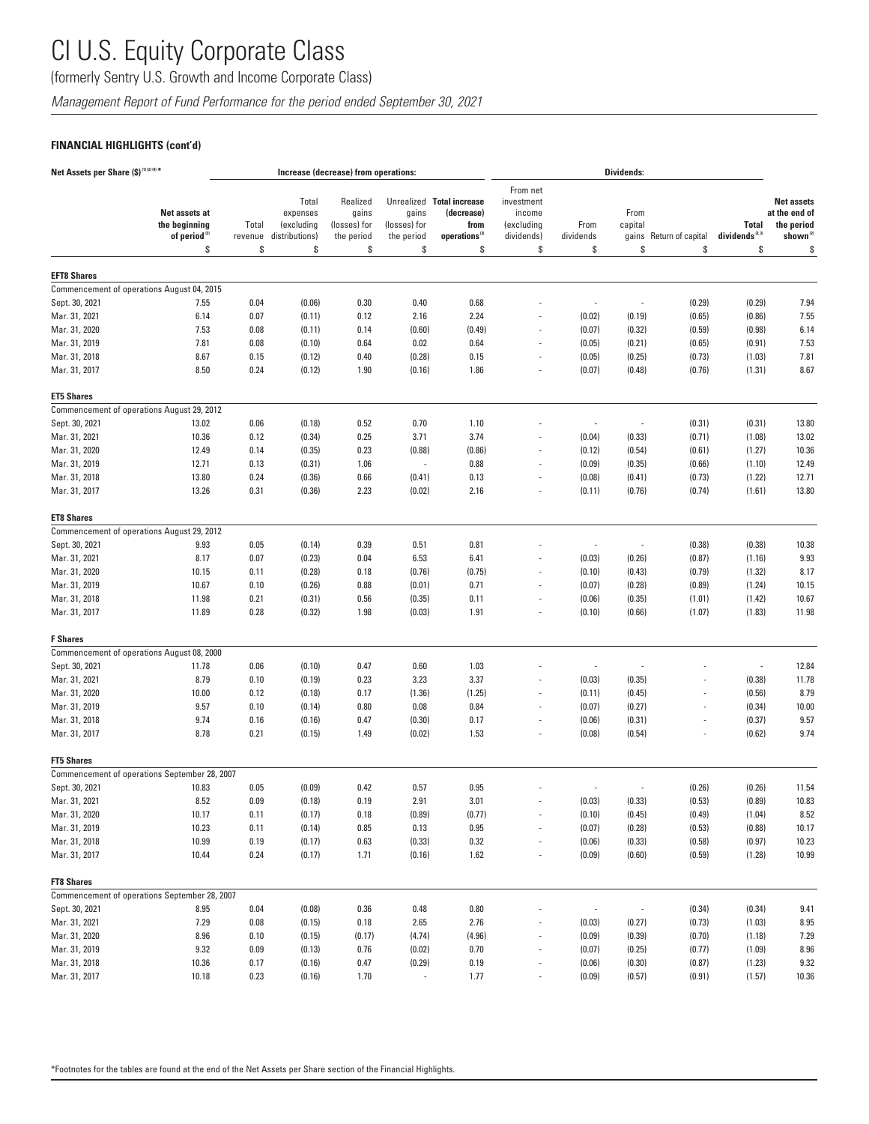(formerly Sentry U.S. Growth and Income Corporate Class)

*Management Report of Fund Performance for the period ended September 30, 2021*

### **FINANCIAL HIGHLIGHTS (cont'd)**

| Net Assets per Share (\$) <sup>(1)(2)(4)*</sup> |                                                                  |                        |                                                         | Increase (decrease) from operations:                  |                                           |                                                                                    |                                                                    |                          | Dividends:                     |                         |                                          |                                                                                |
|-------------------------------------------------|------------------------------------------------------------------|------------------------|---------------------------------------------------------|-------------------------------------------------------|-------------------------------------------|------------------------------------------------------------------------------------|--------------------------------------------------------------------|--------------------------|--------------------------------|-------------------------|------------------------------------------|--------------------------------------------------------------------------------|
|                                                 | Net assets at<br>the beginning<br>of period <sup>(2)</sup><br>\$ | Total<br>revenue<br>\$ | Total<br>expenses<br>(excluding<br>distributions)<br>\$ | Realized<br>gains<br>(losses) for<br>the period<br>\$ | gains<br>(losses) for<br>the period<br>\$ | Unrealized Total increase<br>(decrease)<br>from<br>operations <sup>(2)</sup><br>\$ | From net<br>investment<br>income<br>(excluding<br>dividends)<br>\$ | From<br>dividends<br>\$  | From<br>capital<br>gains<br>\$ | Return of capital<br>\$ | <b>Total</b><br>dividends $^{2.3}$<br>\$ | <b>Net assets</b><br>at the end of<br>the period<br>shown <sup>(2)</sup><br>\$ |
|                                                 |                                                                  |                        |                                                         |                                                       |                                           |                                                                                    |                                                                    |                          |                                |                         |                                          |                                                                                |
| <b>EFT8 Shares</b>                              |                                                                  |                        |                                                         |                                                       |                                           |                                                                                    |                                                                    |                          |                                |                         |                                          |                                                                                |
|                                                 | Commencement of operations August 04, 2015                       |                        |                                                         |                                                       |                                           |                                                                                    |                                                                    |                          |                                |                         |                                          |                                                                                |
| Sept. 30, 2021                                  | 7.55                                                             | 0.04                   | (0.06)                                                  | 0.30                                                  | 0.40                                      | 0.68                                                                               |                                                                    | ÷,                       |                                | (0.29)                  | (0.29)                                   | 7.94                                                                           |
| Mar. 31, 2021                                   | 6.14                                                             | 0.07                   | (0.11)                                                  | 0.12                                                  | 2.16                                      | 2.24                                                                               |                                                                    | (0.02)                   | (0.19)                         | (0.65)                  | (0.86)                                   | 7.55                                                                           |
| Mar. 31, 2020                                   | 7.53                                                             | 0.08                   | (0.11)                                                  | 0.14                                                  | (0.60)                                    | (0.49)                                                                             |                                                                    | (0.07)                   | (0.32)                         | (0.59)                  | (0.98)                                   | 6.14                                                                           |
| Mar. 31, 2019                                   | 7.81                                                             | 0.08                   | (0.10)                                                  | 0.64                                                  | 0.02                                      | 0.64                                                                               | $\overline{\phantom{a}}$                                           | (0.05)                   | (0.21)                         | (0.65)                  | (0.91)                                   | 7.53                                                                           |
| Mar. 31, 2018<br>Mar. 31, 2017                  | 8.67<br>8.50                                                     | 0.15<br>0.24           | (0.12)<br>(0.12)                                        | 0.40<br>1.90                                          | (0.28)<br>(0.16)                          | 0.15<br>1.86                                                                       | $\overline{a}$                                                     | (0.05)<br>(0.07)         | (0.25)<br>(0.48)               | (0.73)<br>(0.76)        | (1.03)<br>(1.31)                         | 7.81<br>8.67                                                                   |
|                                                 |                                                                  |                        |                                                         |                                                       |                                           |                                                                                    |                                                                    |                          |                                |                         |                                          |                                                                                |
| <b>ET5 Shares</b>                               |                                                                  |                        |                                                         |                                                       |                                           |                                                                                    |                                                                    |                          |                                |                         |                                          |                                                                                |
|                                                 | Commencement of operations August 29, 2012                       |                        |                                                         |                                                       |                                           |                                                                                    |                                                                    |                          |                                |                         |                                          |                                                                                |
| Sept. 30, 2021                                  | 13.02                                                            | 0.06                   | (0.18)                                                  | 0.52                                                  | 0.70                                      | 1.10                                                                               |                                                                    | ÷,                       | $\overline{a}$                 | (0.31)                  | (0.31)                                   | 13.80                                                                          |
| Mar. 31, 2021                                   | 10.36                                                            | 0.12                   | (0.34)                                                  | 0.25                                                  | 3.71                                      | 3.74                                                                               |                                                                    | (0.04)                   | (0.33)                         | (0.71)                  | (1.08)                                   | 13.02                                                                          |
| Mar. 31, 2020                                   | 12.49                                                            | 0.14                   | (0.35)                                                  | 0.23                                                  | (0.88)                                    | (0.86)                                                                             |                                                                    | (0.12)                   | (0.54)                         | (0.61)                  | (1.27)                                   | 10.36                                                                          |
| Mar. 31, 2019                                   | 12.71                                                            | 0.13                   | (0.31)                                                  | 1.06                                                  | ÷,                                        | 0.88                                                                               |                                                                    | (0.09)                   | (0.35)                         | (0.66)                  | (1.10)                                   | 12.49                                                                          |
| Mar. 31, 2018                                   | 13.80                                                            | 0.24                   | (0.36)                                                  | 0.66                                                  | (0.41)                                    | 0.13                                                                               |                                                                    | (0.08)                   | (0.41)                         | (0.73)                  | (1.22)                                   | 12.71                                                                          |
| Mar. 31, 2017                                   | 13.26                                                            | 0.31                   | (0.36)                                                  | 2.23                                                  | (0.02)                                    | 2.16                                                                               | $\overline{\phantom{a}}$                                           | (0.11)                   | (0.76)                         | (0.74)                  | (1.61)                                   | 13.80                                                                          |
| <b>ET8 Shares</b>                               |                                                                  |                        |                                                         |                                                       |                                           |                                                                                    |                                                                    |                          |                                |                         |                                          |                                                                                |
|                                                 | Commencement of operations August 29, 2012                       |                        |                                                         |                                                       |                                           |                                                                                    |                                                                    |                          |                                |                         |                                          |                                                                                |
| Sept. 30, 2021                                  | 9.93                                                             | 0.05                   | (0.14)                                                  | 0.39                                                  | 0.51                                      | 0.81                                                                               |                                                                    | $\overline{a}$           | ÷,                             | (0.38)                  | (0.38)                                   | 10.38                                                                          |
| Mar. 31, 2021                                   | 8.17                                                             | 0.07                   | (0.23)                                                  | 0.04                                                  | 6.53                                      | 6.41                                                                               |                                                                    | (0.03)                   | (0.26)                         | (0.87)                  | (1.16)                                   | 9.93                                                                           |
| Mar. 31, 2020                                   | 10.15                                                            | 0.11                   | (0.28)                                                  | 0.18                                                  | (0.76)                                    | (0.75)                                                                             | $\overline{a}$                                                     | (0.10)                   | (0.43)                         | (0.79)                  | (1.32)                                   | 8.17                                                                           |
| Mar. 31, 2019                                   | 10.67                                                            | 0.10                   | (0.26)                                                  | 0.88                                                  | (0.01)                                    | 0.71                                                                               |                                                                    | (0.07)                   | (0.28)                         | (0.89)                  | (1.24)                                   | 10.15                                                                          |
| Mar. 31, 2018                                   | 11.98                                                            | 0.21                   | (0.31)                                                  | 0.56                                                  | (0.35)                                    | 0.11                                                                               | $\overline{\phantom{a}}$                                           | (0.06)                   | (0.35)                         | (1.01)                  | (1.42)                                   | 10.67                                                                          |
| Mar. 31, 2017                                   | 11.89                                                            | 0.28                   | (0.32)                                                  | 1.98                                                  | (0.03)                                    | 1.91                                                                               |                                                                    | (0.10)                   | (0.66)                         | (1.07)                  | (1.83)                                   | 11.98                                                                          |
| <b>F</b> Shares                                 |                                                                  |                        |                                                         |                                                       |                                           |                                                                                    |                                                                    |                          |                                |                         |                                          |                                                                                |
|                                                 | Commencement of operations August 08, 2000                       |                        |                                                         |                                                       |                                           |                                                                                    |                                                                    |                          |                                |                         |                                          |                                                                                |
| Sept. 30, 2021                                  | 11.78                                                            | 0.06                   | (0.10)                                                  | 0.47                                                  | 0.60                                      | 1.03                                                                               |                                                                    | ÷,                       |                                |                         | $\overline{\phantom{a}}$                 | 12.84                                                                          |
| Mar. 31, 2021                                   | 8.79                                                             | 0.10                   | (0.19)                                                  | 0.23                                                  | 3.23                                      | 3.37                                                                               |                                                                    | (0.03)                   | (0.35)                         |                         | (0.38)                                   | 11.78                                                                          |
| Mar. 31, 2020                                   | 10.00                                                            | 0.12                   | (0.18)                                                  | 0.17                                                  | (1.36)                                    | (1.25)                                                                             | $\overline{a}$                                                     | (0.11)                   | (0.45)                         |                         | (0.56)                                   | 8.79                                                                           |
| Mar. 31, 2019                                   | 9.57                                                             | 0.10                   | (0.14)                                                  | 0.80                                                  | 0.08                                      | 0.84                                                                               |                                                                    | (0.07)                   | (0.27)                         |                         | (0.34)                                   | 10.00                                                                          |
| Mar. 31, 2018                                   | 9.74                                                             | 0.16                   | (0.16)                                                  | 0.47                                                  | (0.30)                                    | 0.17                                                                               |                                                                    | (0.06)                   | (0.31)                         |                         | (0.37)                                   | 9.57                                                                           |
| Mar. 31, 2017                                   | 8.78                                                             | 0.21                   | (0.15)                                                  | 1.49                                                  | (0.02)                                    | 1.53                                                                               |                                                                    | (0.08)                   | (0.54)                         |                         | (0.62)                                   | 9.74                                                                           |
| <b>FT5 Shares</b>                               |                                                                  |                        |                                                         |                                                       |                                           |                                                                                    |                                                                    |                          |                                |                         |                                          |                                                                                |
|                                                 | Commencement of operations September 28, 2007                    |                        |                                                         |                                                       |                                           |                                                                                    |                                                                    |                          |                                |                         |                                          |                                                                                |
| Sept. 30, 2021                                  | 10.83                                                            | 0.05                   | (0.09)                                                  | 0.42                                                  | 0.57                                      | 0.95                                                                               |                                                                    |                          |                                | (0.26)                  | (0.26)                                   | 11.54                                                                          |
| Mar. 31, 2021                                   | 8.52                                                             | 0.09                   | (0.18)                                                  | 0.19                                                  | 2.91                                      | 3.01                                                                               |                                                                    | (0.03)                   | (0.33)                         | (0.53)                  | (0.89)                                   | 10.83                                                                          |
| Mar. 31, 2020                                   | 10.17                                                            | 0.11                   | (0.17)                                                  | 0.18                                                  | (0.89)                                    | (0.77)                                                                             |                                                                    | (0.10)                   | (0.45)                         | (0.49)                  | (1.04)                                   | 8.52                                                                           |
| Mar. 31, 2019                                   | 10.23                                                            | 0.11                   | (0.14)                                                  | 0.85                                                  | 0.13                                      | 0.95                                                                               |                                                                    | (0.07)                   | (0.28)                         | (0.53)                  | (0.88)                                   | 10.17                                                                          |
| Mar. 31, 2018                                   | 10.99                                                            | 0.19                   | (0.17)                                                  | 0.63                                                  | (0.33)                                    | 0.32                                                                               |                                                                    | (0.06)                   | (0.33)                         | (0.58)                  | (0.97)                                   | 10.23                                                                          |
| Mar. 31, 2017                                   | 10.44                                                            | 0.24                   | (0.17)                                                  | 1.71                                                  | (0.16)                                    | 1.62                                                                               | $\overline{\phantom{a}}$                                           | (0.09)                   | (0.60)                         | (0.59)                  | (1.28)                                   | 10.99                                                                          |
| <b>FT8 Shares</b>                               |                                                                  |                        |                                                         |                                                       |                                           |                                                                                    |                                                                    |                          |                                |                         |                                          |                                                                                |
|                                                 | Commencement of operations September 28, 2007                    |                        |                                                         |                                                       |                                           |                                                                                    |                                                                    |                          |                                |                         |                                          |                                                                                |
| Sept. 30, 2021                                  | 8.95                                                             | 0.04                   | (0.08)                                                  | 0.36                                                  | 0.48                                      | 0.80                                                                               |                                                                    | $\overline{\phantom{a}}$ |                                | (0.34)                  | (0.34)                                   | 9.41                                                                           |
| Mar. 31, 2021                                   | 7.29                                                             | 0.08                   | (0.15)                                                  | 0.18                                                  | 2.65                                      | 2.76                                                                               |                                                                    | (0.03)                   | (0.27)                         | (0.73)                  | (1.03)                                   | 8.95                                                                           |
| Mar. 31, 2020                                   | 8.96                                                             | 0.10                   | (0.15)                                                  | (0.17)                                                | (4.74)                                    | (4.96)                                                                             |                                                                    | (0.09)                   | (0.39)                         | (0.70)                  | (1.18)                                   | 7.29                                                                           |
| Mar. 31, 2019                                   | 9.32                                                             | 0.09                   | (0.13)                                                  | 0.76                                                  | (0.02)                                    | 0.70                                                                               | $\overline{\phantom{a}}$                                           | (0.07)                   | (0.25)                         | (0.77)                  | (1.09)                                   | 8.96                                                                           |
| Mar. 31, 2018                                   | 10.36                                                            | 0.17                   | (0.16)                                                  | 0.47                                                  | (0.29)                                    | 0.19                                                                               |                                                                    | (0.06)                   | (0.30)                         | (0.87)                  | (1.23)                                   | 9.32                                                                           |
| Mar. 31, 2017                                   | 10.18                                                            | 0.23                   | (0.16)                                                  | 1.70                                                  |                                           | 1.77                                                                               |                                                                    | (0.09)                   | (0.57)                         | (0.91)                  | (1.57)                                   | 10.36                                                                          |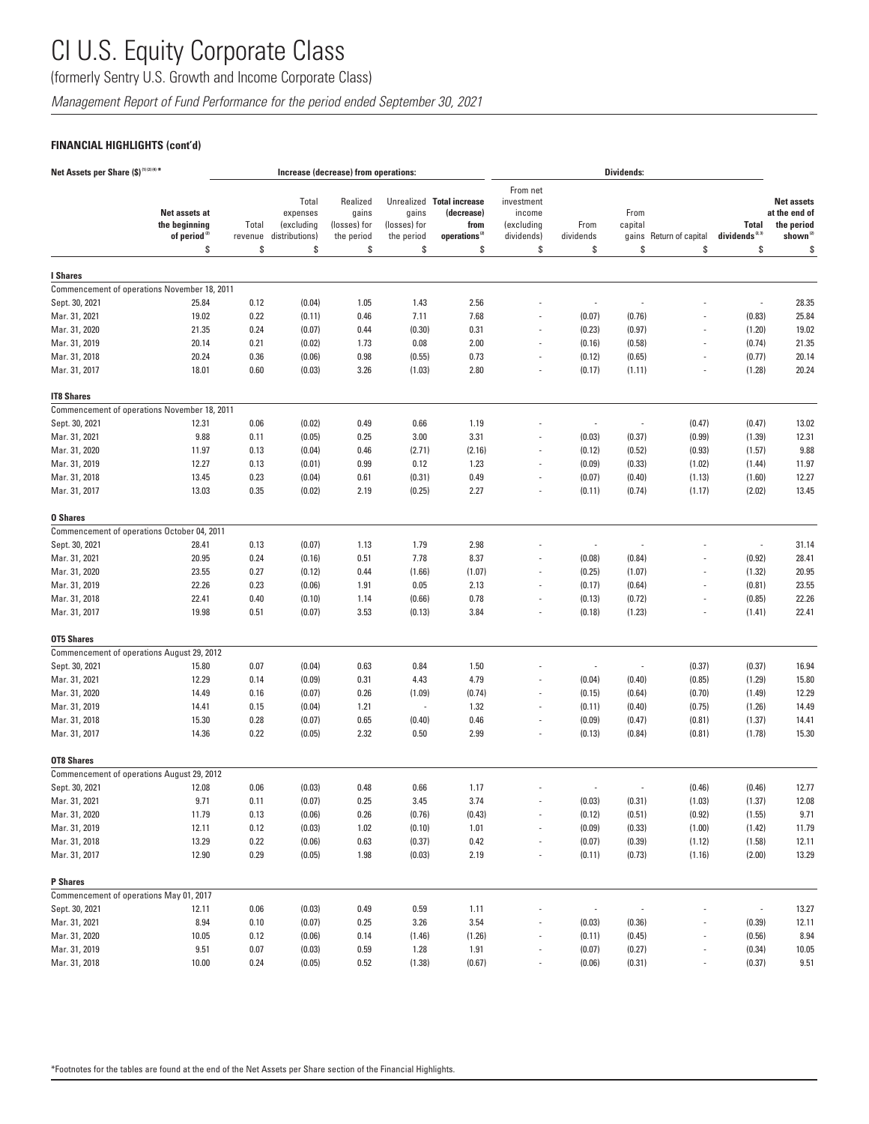(formerly Sentry U.S. Growth and Income Corporate Class)

*Management Report of Fund Performance for the period ended September 30, 2021*

### **FINANCIAL HIGHLIGHTS (cont'd)**

| Net Assets per Share (\$) <sup>(1)(2)(4)*</sup> |                                                                  |                        |                                                         | Increase (decrease) from operations:                  |                                           |                                                                                    |                                                                    |                          | Dividends:                     |                         |                                          |                                                                                |
|-------------------------------------------------|------------------------------------------------------------------|------------------------|---------------------------------------------------------|-------------------------------------------------------|-------------------------------------------|------------------------------------------------------------------------------------|--------------------------------------------------------------------|--------------------------|--------------------------------|-------------------------|------------------------------------------|--------------------------------------------------------------------------------|
|                                                 | Net assets at<br>the beginning<br>of period <sup>(2)</sup><br>\$ | Total<br>revenue<br>\$ | Total<br>expenses<br>(excluding<br>distributions)<br>\$ | Realized<br>gains<br>(losses) for<br>the period<br>\$ | gains<br>(losses) for<br>the period<br>\$ | Unrealized Total increase<br>(decrease)<br>from<br>operations <sup>(2)</sup><br>\$ | From net<br>investment<br>income<br>(excluding<br>dividends)<br>\$ | From<br>dividends<br>\$  | From<br>capital<br>gains<br>\$ | Return of capital<br>\$ | <b>Total</b><br>dividends $^{2.3}$<br>\$ | <b>Net assets</b><br>at the end of<br>the period<br>shown <sup>(2)</sup><br>\$ |
|                                                 |                                                                  |                        |                                                         |                                                       |                                           |                                                                                    |                                                                    |                          |                                |                         |                                          |                                                                                |
| <b>I</b> Shares                                 |                                                                  |                        |                                                         |                                                       |                                           |                                                                                    |                                                                    |                          |                                |                         |                                          |                                                                                |
|                                                 | Commencement of operations November 18, 2011                     |                        |                                                         |                                                       |                                           |                                                                                    |                                                                    |                          |                                |                         |                                          |                                                                                |
| Sept. 30, 2021                                  | 25.84                                                            | 0.12                   | (0.04)                                                  | 1.05                                                  | 1.43                                      | 2.56                                                                               |                                                                    | ÷,                       |                                |                         | $\overline{\phantom{a}}$                 | 28.35                                                                          |
| Mar. 31, 2021                                   | 19.02                                                            | 0.22                   | (0.11)                                                  | 0.46                                                  | 7.11                                      | 7.68                                                                               |                                                                    | (0.07)                   | (0.76)                         |                         | (0.83)                                   | 25.84                                                                          |
| Mar. 31, 2020                                   | 21.35                                                            | 0.24                   | (0.07)                                                  | 0.44                                                  | (0.30)                                    | 0.31                                                                               |                                                                    | (0.23)                   | (0.97)                         |                         | (1.20)                                   | 19.02                                                                          |
| Mar. 31, 2019                                   | 20.14                                                            | 0.21                   | (0.02)                                                  | 1.73                                                  | 0.08                                      | 2.00                                                                               | $\overline{\phantom{a}}$                                           | (0.16)                   | (0.58)                         |                         | (0.74)                                   | 21.35                                                                          |
| Mar. 31, 2018                                   | 20.24                                                            | 0.36                   | (0.06)                                                  | 0.98                                                  | (0.55)                                    | 0.73                                                                               |                                                                    | (0.12)                   | (0.65)                         |                         | (0.77)                                   | 20.14                                                                          |
| Mar. 31, 2017                                   | 18.01                                                            | 0.60                   | (0.03)                                                  | 3.26                                                  | (1.03)                                    | 2.80                                                                               | $\overline{a}$                                                     | (0.17)                   | (1.11)                         |                         | (1.28)                                   | 20.24                                                                          |
| <b>IT8 Shares</b>                               |                                                                  |                        |                                                         |                                                       |                                           |                                                                                    |                                                                    |                          |                                |                         |                                          |                                                                                |
|                                                 | Commencement of operations November 18, 2011                     |                        |                                                         |                                                       |                                           |                                                                                    |                                                                    |                          |                                |                         |                                          |                                                                                |
| Sept. 30, 2021                                  | 12.31                                                            | 0.06                   | (0.02)                                                  | 0.49                                                  | 0.66                                      | 1.19                                                                               |                                                                    | ÷,                       | $\overline{a}$                 | (0.47)                  | (0.47)                                   | 13.02                                                                          |
| Mar. 31, 2021                                   | 9.88                                                             | 0.11                   | (0.05)                                                  | 0.25                                                  | 3.00                                      | 3.31                                                                               |                                                                    | (0.03)                   | (0.37)                         | (0.99)                  | (1.39)                                   | 12.31                                                                          |
| Mar. 31, 2020                                   | 11.97                                                            | 0.13                   | (0.04)                                                  | 0.46                                                  | (2.71)                                    | (2.16)                                                                             |                                                                    | (0.12)                   | (0.52)                         | (0.93)                  | (1.57)                                   | 9.88                                                                           |
| Mar. 31, 2019                                   | 12.27                                                            | 0.13                   | (0.01)                                                  | 0.99                                                  | 0.12                                      | 1.23                                                                               |                                                                    | (0.09)                   | (0.33)                         | (1.02)                  | (1.44)                                   | 11.97                                                                          |
| Mar. 31, 2018                                   | 13.45                                                            | 0.23                   | (0.04)                                                  | 0.61                                                  | (0.31)                                    | 0.49                                                                               |                                                                    | (0.07)                   | (0.40)                         | (1.13)                  | (1.60)                                   | 12.27                                                                          |
| Mar. 31, 2017                                   | 13.03                                                            | 0.35                   | (0.02)                                                  | 2.19                                                  | (0.25)                                    | 2.27                                                                               | $\overline{\phantom{a}}$                                           | (0.11)                   | (0.74)                         | (1.17)                  | (2.02)                                   | 13.45                                                                          |
| <b>0 Shares</b>                                 |                                                                  |                        |                                                         |                                                       |                                           |                                                                                    |                                                                    |                          |                                |                         |                                          |                                                                                |
|                                                 | Commencement of operations October 04, 2011                      |                        |                                                         |                                                       |                                           |                                                                                    |                                                                    |                          |                                |                         |                                          |                                                                                |
| Sept. 30, 2021                                  | 28.41                                                            | 0.13                   | (0.07)                                                  | 1.13                                                  | 1.79                                      | 2.98                                                                               |                                                                    | $\overline{a}$           |                                |                         | $\overline{\phantom{a}}$                 | 31.14                                                                          |
| Mar. 31, 2021                                   | 20.95                                                            | 0.24                   | (0.16)                                                  | 0.51                                                  | 7.78                                      | 8.37                                                                               |                                                                    | (0.08)                   | (0.84)                         |                         | (0.92)                                   | 28.41                                                                          |
| Mar. 31, 2020                                   | 23.55                                                            | 0.27                   | (0.12)                                                  | 0.44                                                  | (1.66)                                    | (1.07)                                                                             | $\overline{a}$                                                     | (0.25)                   | (1.07)                         |                         | (1.32)                                   | 20.95                                                                          |
| Mar. 31, 2019                                   | 22.26                                                            | 0.23                   | (0.06)                                                  | 1.91                                                  | 0.05                                      | 2.13                                                                               |                                                                    | (0.17)                   | (0.64)                         |                         | (0.81)                                   | 23.55                                                                          |
| Mar. 31, 2018                                   | 22.41                                                            | 0.40                   | (0.10)                                                  | 1.14                                                  | (0.66)                                    | 0.78                                                                               | $\overline{\phantom{a}}$                                           | (0.13)                   | (0.72)                         |                         | (0.85)                                   | 22.26                                                                          |
| Mar. 31, 2017                                   | 19.98                                                            | 0.51                   | (0.07)                                                  | 3.53                                                  | (0.13)                                    | 3.84                                                                               |                                                                    | (0.18)                   | (1.23)                         |                         | (1.41)                                   | 22.41                                                                          |
| <b>OT5 Shares</b>                               |                                                                  |                        |                                                         |                                                       |                                           |                                                                                    |                                                                    |                          |                                |                         |                                          |                                                                                |
|                                                 | Commencement of operations August 29, 2012                       |                        |                                                         |                                                       |                                           |                                                                                    |                                                                    |                          |                                |                         |                                          |                                                                                |
| Sept. 30, 2021                                  | 15.80                                                            | 0.07                   | (0.04)                                                  | 0.63                                                  | 0.84                                      | 1.50                                                                               |                                                                    | $\overline{a}$           |                                | (0.37)                  | (0.37)                                   | 16.94                                                                          |
| Mar. 31, 2021                                   | 12.29                                                            | 0.14                   | (0.09)                                                  | 0.31                                                  | 4.43                                      | 4.79                                                                               |                                                                    | (0.04)                   | (0.40)                         | (0.85)                  | (1.29)                                   | 15.80                                                                          |
| Mar. 31, 2020                                   | 14.49                                                            | 0.16                   | (0.07)                                                  | 0.26                                                  | (1.09)                                    | (0.74)                                                                             | $\overline{a}$                                                     | (0.15)                   | (0.64)                         | (0.70)                  | (1.49)                                   | 12.29                                                                          |
| Mar. 31, 2019                                   | 14.41                                                            | 0.15                   | (0.04)                                                  | 1.21                                                  | ÷,                                        | 1.32                                                                               |                                                                    | (0.11)                   | (0.40)                         | (0.75)                  | (1.26)                                   | 14.49                                                                          |
| Mar. 31, 2018                                   | 15.30                                                            | 0.28                   | (0.07)                                                  | 0.65                                                  | (0.40)                                    | 0.46                                                                               |                                                                    | (0.09)                   | (0.47)                         | (0.81)                  | (1.37)                                   | 14.41                                                                          |
| Mar. 31, 2017                                   | 14.36                                                            | 0.22                   | (0.05)                                                  | 2.32                                                  | 0.50                                      | 2.99                                                                               |                                                                    | (0.13)                   | (0.84)                         | (0.81)                  | (1.78)                                   | 15.30                                                                          |
| <b>OT8 Shares</b>                               |                                                                  |                        |                                                         |                                                       |                                           |                                                                                    |                                                                    |                          |                                |                         |                                          |                                                                                |
|                                                 | Commencement of operations August 29, 2012                       |                        |                                                         |                                                       |                                           |                                                                                    |                                                                    |                          |                                |                         |                                          |                                                                                |
| Sept. 30, 2021                                  | 12.08                                                            | 0.06                   | (0.03)                                                  | 0.48                                                  | 0.66                                      | 1.17                                                                               |                                                                    |                          |                                | (0.46)                  | (0.46)                                   | 12.77                                                                          |
| Mar. 31, 2021                                   | 9.71                                                             | 0.11                   | (0.07)                                                  | 0.25                                                  | 3.45                                      | 3.74                                                                               |                                                                    | (0.03)                   | (0.31)                         | (1.03)                  | (1.37)                                   | 12.08                                                                          |
| Mar. 31, 2020                                   | 11.79                                                            | 0.13                   | (0.06)                                                  | 0.26                                                  | (0.76)                                    | (0.43)                                                                             |                                                                    | (0.12)                   | (0.51)                         | (0.92)                  | (1.55)                                   | 9.71                                                                           |
| Mar. 31, 2019                                   | 12.11                                                            | 0.12                   | (0.03)                                                  | 1.02                                                  | (0.10)                                    | 1.01                                                                               |                                                                    | (0.09)                   | (0.33)                         | (1.00)                  | (1.42)                                   | 11.79                                                                          |
| Mar. 31, 2018                                   | 13.29                                                            | 0.22                   | (0.06)                                                  | 0.63                                                  | (0.37)                                    | 0.42                                                                               |                                                                    | (0.07)                   | (0.39)                         | (1.12)                  | (1.58)                                   | 12.11                                                                          |
| Mar. 31, 2017                                   | 12.90                                                            | 0.29                   | (0.05)                                                  | 1.98                                                  | (0.03)                                    | 2.19                                                                               | $\overline{\phantom{a}}$                                           | (0.11)                   | (0.73)                         | (1.16)                  | (2.00)                                   | 13.29                                                                          |
| <b>P</b> Shares                                 |                                                                  |                        |                                                         |                                                       |                                           |                                                                                    |                                                                    |                          |                                |                         |                                          |                                                                                |
| Commencement of operations May 01, 2017         |                                                                  |                        |                                                         |                                                       |                                           |                                                                                    |                                                                    |                          |                                |                         |                                          |                                                                                |
| Sept. 30, 2021                                  | 12.11                                                            | 0.06                   | (0.03)                                                  | 0.49                                                  | 0.59                                      | 1.11                                                                               |                                                                    | $\overline{\phantom{a}}$ |                                |                         | ÷                                        | 13.27                                                                          |
| Mar. 31, 2021                                   | 8.94                                                             | 0.10                   | (0.07)                                                  | 0.25                                                  | 3.26                                      | 3.54                                                                               |                                                                    | (0.03)                   | (0.36)                         |                         | (0.39)                                   | 12.11                                                                          |
| Mar. 31, 2020                                   | 10.05                                                            | 0.12                   | (0.06)                                                  | 0.14                                                  | (1.46)                                    | (1.26)                                                                             |                                                                    | (0.11)                   | (0.45)                         |                         | (0.56)                                   | 8.94                                                                           |
| Mar. 31, 2019                                   | 9.51                                                             | 0.07                   | (0.03)                                                  | 0.59                                                  | 1.28                                      | 1.91                                                                               |                                                                    | (0.07)                   | (0.27)                         |                         | (0.34)                                   | 10.05                                                                          |
| Mar. 31, 2018                                   | 10.00                                                            | 0.24                   | (0.05)                                                  | 0.52                                                  | (1.38)                                    | (0.67)                                                                             |                                                                    | (0.06)                   | (0.31)                         |                         | (0.37)                                   | 9.51                                                                           |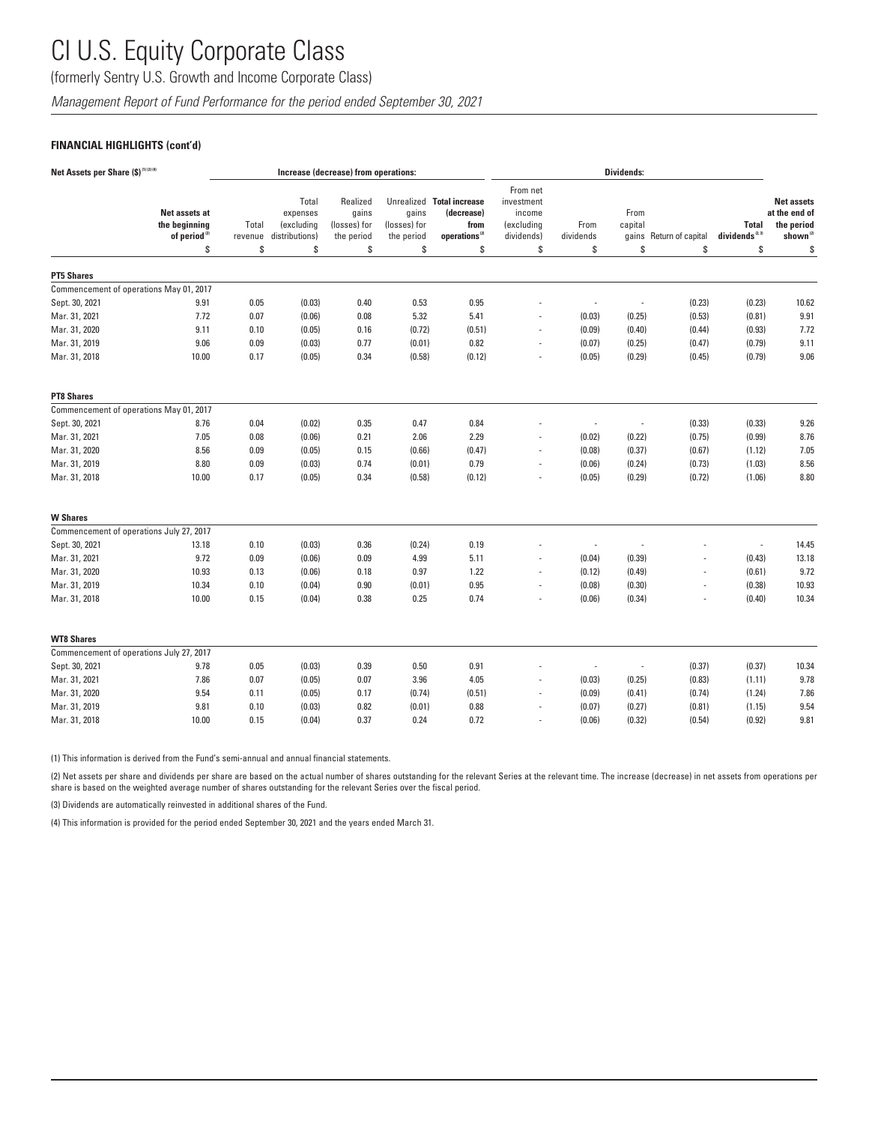(formerly Sentry U.S. Growth and Income Corporate Class)

*Management Report of Fund Performance for the period ended September 30, 2021*

### **FINANCIAL HIGHLIGHTS (cont'd)**

| Net Assets per Share (\$) <sup>(1)(2)(4)</sup> |                                                                  |                        |                                                         | Increase (decrease) from operations:                  |                                           |                                                                                    | Dividends:                                                        |                          |                                |                         |                                                 |                                                                                |
|------------------------------------------------|------------------------------------------------------------------|------------------------|---------------------------------------------------------|-------------------------------------------------------|-------------------------------------------|------------------------------------------------------------------------------------|-------------------------------------------------------------------|--------------------------|--------------------------------|-------------------------|-------------------------------------------------|--------------------------------------------------------------------------------|
|                                                | Net assets at<br>the beginning<br>of period <sup>(2)</sup><br>s. | Total<br>revenue<br>\$ | Total<br>expenses<br>(excluding<br>distributions)<br>\$ | Realized<br>gains<br>(losses) for<br>the period<br>\$ | gains<br>(losses) for<br>the period<br>\$ | Unrealized Total increase<br>(decrease)<br>from<br>operations <sup>(2)</sup><br>\$ | From net<br>investment<br>income<br>(excluding<br>dividends)<br>S | From<br>dividends<br>S.  | From<br>capital<br>qains<br>\$ | Return of capital<br>\$ | <b>Total</b><br>dividends <sup>2,3)</sup><br>\$ | <b>Net assets</b><br>at the end of<br>the period<br>shown <sup>(2)</sup><br>\$ |
| <b>PT5 Shares</b>                              |                                                                  |                        |                                                         |                                                       |                                           |                                                                                    |                                                                   |                          |                                |                         |                                                 |                                                                                |
| Commencement of operations May 01, 2017        |                                                                  |                        |                                                         |                                                       |                                           |                                                                                    |                                                                   |                          |                                |                         |                                                 |                                                                                |
| Sept. 30, 2021                                 | 9.91                                                             | 0.05                   | (0.03)                                                  | 0.40                                                  | 0.53                                      | 0.95                                                                               |                                                                   | $\overline{a}$           | ÷,                             | (0.23)                  | (0.23)                                          | 10.62                                                                          |
| Mar. 31, 2021                                  | 7.72                                                             | 0.07                   | (0.06)                                                  | 0.08                                                  | 5.32                                      | 5.41                                                                               |                                                                   | (0.03)                   | (0.25)                         | (0.53)                  | (0.81)                                          | 9.91                                                                           |
| Mar. 31, 2020                                  | 9.11                                                             | 0.10                   | (0.05)                                                  | 0.16                                                  | (0.72)                                    | (0.51)                                                                             |                                                                   | (0.09)                   | (0.40)                         | (0.44)                  | (0.93)                                          | 7.72                                                                           |
| Mar. 31, 2019                                  | 9.06                                                             | 0.09                   | (0.03)                                                  | 0.77                                                  | (0.01)                                    | 0.82                                                                               |                                                                   | (0.07)                   | (0.25)                         | (0.47)                  | (0.79)                                          | 9.11                                                                           |
| Mar. 31, 2018                                  | 10.00                                                            | 0.17                   | (0.05)                                                  | 0.34                                                  | (0.58)                                    | (0.12)                                                                             |                                                                   | (0.05)                   | (0.29)                         | (0.45)                  | (0.79)                                          | 9.06                                                                           |
| <b>PT8 Shares</b>                              |                                                                  |                        |                                                         |                                                       |                                           |                                                                                    |                                                                   |                          |                                |                         |                                                 |                                                                                |
| Commencement of operations May 01, 2017        |                                                                  |                        |                                                         |                                                       |                                           |                                                                                    |                                                                   |                          |                                |                         |                                                 |                                                                                |
| Sept. 30, 2021                                 | 8.76                                                             | 0.04                   | (0.02)                                                  | 0.35                                                  | 0.47                                      | 0.84                                                                               |                                                                   | $\overline{a}$           | ÷,                             | (0.33)                  | (0.33)                                          | 9.26                                                                           |
| Mar. 31, 2021                                  | 7.05                                                             | 0.08                   | (0.06)                                                  | 0.21                                                  | 2.06                                      | 2.29                                                                               |                                                                   | (0.02)                   | (0.22)                         | (0.75)                  | (0.99)                                          | 8.76                                                                           |
| Mar. 31, 2020                                  | 8.56                                                             | 0.09                   | (0.05)                                                  | 0.15                                                  | (0.66)                                    | (0.47)                                                                             |                                                                   | (0.08)                   | (0.37)                         | (0.67)                  | (1.12)                                          | 7.05                                                                           |
| Mar. 31, 2019                                  | 8.80                                                             | 0.09                   | (0.03)                                                  | 0.74                                                  | (0.01)                                    | 0.79                                                                               |                                                                   | (0.06)                   | (0.24)                         | (0.73)                  | (1.03)                                          | 8.56                                                                           |
| Mar. 31, 2018                                  | 10.00                                                            | 0.17                   | (0.05)                                                  | 0.34                                                  | (0.58)                                    | (0.12)                                                                             |                                                                   | (0.05)                   | (0.29)                         | (0.72)                  | (1.06)                                          | 8.80                                                                           |
| <b>W</b> Shares                                |                                                                  |                        |                                                         |                                                       |                                           |                                                                                    |                                                                   |                          |                                |                         |                                                 |                                                                                |
| Commencement of operations July 27, 2017       |                                                                  |                        |                                                         |                                                       |                                           |                                                                                    |                                                                   |                          |                                |                         |                                                 |                                                                                |
| Sept. 30, 2021                                 | 13.18                                                            | 0.10                   | (0.03)                                                  | 0.36                                                  | (0.24)                                    | 0.19                                                                               |                                                                   | $\overline{\phantom{a}}$ | J.                             |                         | $\overline{\phantom{a}}$                        | 14.45                                                                          |
| Mar. 31, 2021                                  | 9.72                                                             | 0.09                   | (0.06)                                                  | 0.09                                                  | 4.99                                      | 5.11                                                                               |                                                                   | (0.04)                   | (0.39)                         |                         | (0.43)                                          | 13.18                                                                          |
| Mar. 31, 2020                                  | 10.93                                                            | 0.13                   | (0.06)                                                  | 0.18                                                  | 0.97                                      | 1.22                                                                               |                                                                   | (0.12)                   | (0.49)                         |                         | (0.61)                                          | 9.72                                                                           |
| Mar. 31, 2019                                  | 10.34                                                            | 0.10                   | (0.04)                                                  | 0.90                                                  | (0.01)                                    | 0.95                                                                               |                                                                   | (0.08)                   | (0.30)                         |                         | (0.38)                                          | 10.93                                                                          |
| Mar. 31, 2018                                  | 10.00                                                            | 0.15                   | (0.04)                                                  | 0.38                                                  | 0.25                                      | 0.74                                                                               |                                                                   | (0.06)                   | (0.34)                         |                         | (0.40)                                          | 10.34                                                                          |
| <b>WT8 Shares</b>                              |                                                                  |                        |                                                         |                                                       |                                           |                                                                                    |                                                                   |                          |                                |                         |                                                 |                                                                                |
| Commencement of operations July 27, 2017       |                                                                  |                        |                                                         |                                                       |                                           |                                                                                    |                                                                   |                          |                                |                         |                                                 |                                                                                |
| Sept. 30, 2021                                 | 9.78                                                             | 0.05                   | (0.03)                                                  | 0.39                                                  | 0.50                                      | 0.91                                                                               |                                                                   | $\overline{\phantom{a}}$ | ÷,                             | (0.37)                  | (0.37)                                          | 10.34                                                                          |
| Mar. 31, 2021                                  | 7.86                                                             | 0.07                   | (0.05)                                                  | 0.07                                                  | 3.96                                      | 4.05                                                                               |                                                                   | (0.03)                   | (0.25)                         | (0.83)                  | (1.11)                                          | 9.78                                                                           |
| Mar. 31, 2020                                  | 9.54                                                             | 0.11                   | (0.05)                                                  | 0.17                                                  | (0.74)                                    | (0.51)                                                                             |                                                                   | (0.09)                   | (0.41)                         | (0.74)                  | (1.24)                                          | 7.86                                                                           |
| Mar. 31, 2019                                  | 9.81                                                             | 0.10                   | (0.03)                                                  | 0.82                                                  | (0.01)                                    | 0.88                                                                               |                                                                   | (0.07)                   | (0.27)                         | (0.81)                  | (1.15)                                          | 9.54                                                                           |
| Mar. 31, 2018                                  | 10.00                                                            | 0.15                   | (0.04)                                                  | 0.37                                                  | 0.24                                      | 0.72                                                                               |                                                                   | (0.06)                   | (0.32)                         | (0.54)                  | (0.92)                                          | 9.81                                                                           |

(1) This information is derived from the Fund's semi-annual and annual financial statements.

(2) Net assets per share and dividends per share are based on the actual number of shares outstanding for the relevant Series at the relevant time. The increase (decrease) in net assets from operations per share is based on the weighted average number of shares outstanding for the relevant Series over the fiscal period.

(3) Dividends are automatically reinvested in additional shares of the Fund.

(4) This information is provided for the period ended September 30, 2021 and the years ended March 31.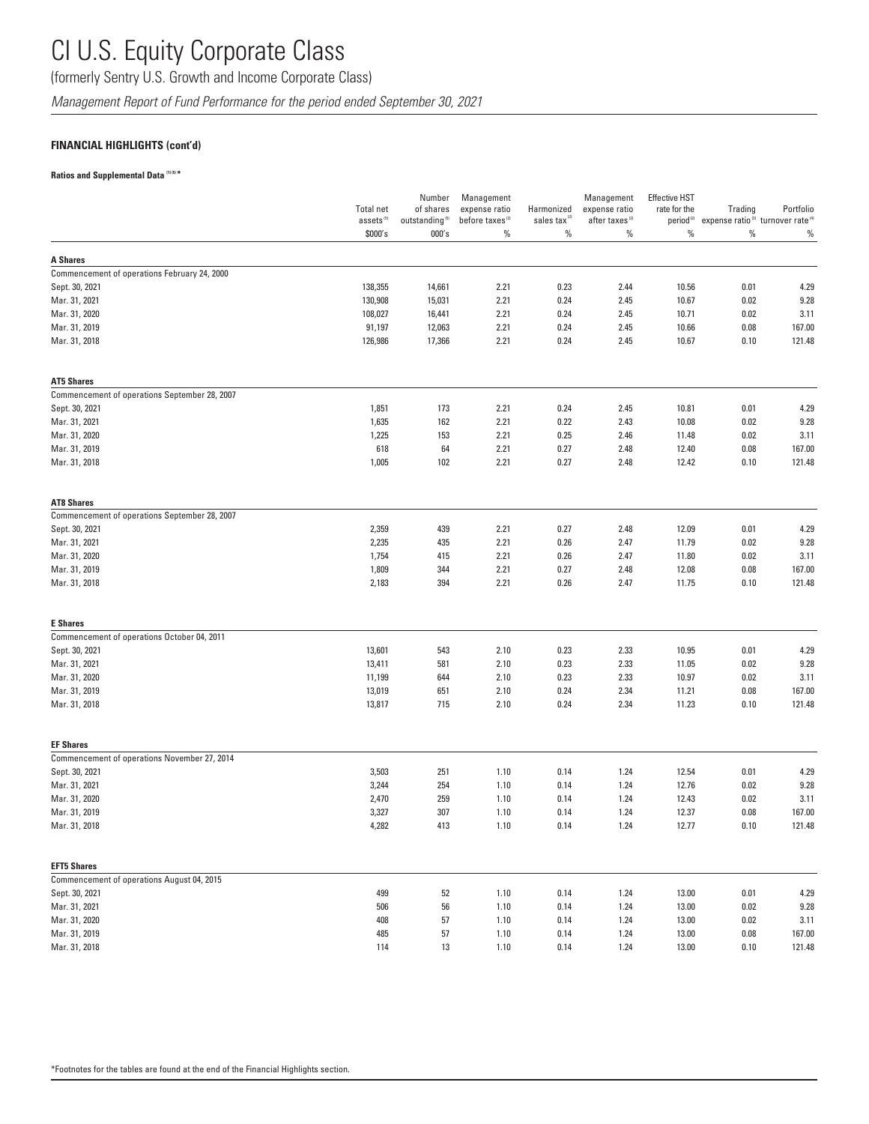(formerly Sentry U.S. Growth and Income Corporate Class)

*Management Report of Fund Performance for the period ended September 30, 2021*

### **FINANCIAL HIGHLIGHTS (cont'd)**

#### **Ratios and Supplemental Data (1) (5) \***

|                                               | <b>Total net</b>      | Number<br>of shares        | Management<br>expense ratio | Harmonized               | Management<br>expense ratio | <b>Effective HST</b><br>rate for the | Trading                                                                         | Portfolio |
|-----------------------------------------------|-----------------------|----------------------------|-----------------------------|--------------------------|-----------------------------|--------------------------------------|---------------------------------------------------------------------------------|-----------|
|                                               | assets <sup>(5)</sup> | outstanding <sup>(5)</sup> | before taxes <sup>(2)</sup> | sales tax <sup>(2)</sup> | after taxes <sup>(2)</sup>  |                                      | period <sup>(2)</sup> expense ratio <sup>(3)</sup> turnover rate <sup>(4)</sup> |           |
|                                               | \$000's               | 000's                      | $\%$                        | $\%$                     | $\%$                        | %                                    | $\%$                                                                            | $\%$      |
| <b>A Shares</b>                               |                       |                            |                             |                          |                             |                                      |                                                                                 |           |
| Commencement of operations February 24, 2000  |                       |                            |                             |                          |                             |                                      |                                                                                 |           |
| Sept. 30, 2021                                | 138,355               | 14,661                     | 2.21                        | 0.23                     | 2.44                        | 10.56                                | 0.01                                                                            | 4.29      |
| Mar. 31, 2021                                 | 130,908               | 15,031                     | 2.21                        | 0.24                     | 2.45                        | 10.67                                | 0.02                                                                            | 9.28      |
| Mar. 31, 2020                                 | 108,027               | 16,441                     | 2.21                        | 0.24                     | 2.45                        | 10.71                                | 0.02                                                                            | 3.11      |
| Mar. 31, 2019                                 | 91,197                | 12,063                     | 2.21                        | 0.24                     | 2.45                        | 10.66                                | 0.08                                                                            | 167.00    |
| Mar. 31, 2018                                 | 126,986               | 17,366                     | 2.21                        | 0.24                     | 2.45                        | 10.67                                | 0.10                                                                            | 121.48    |
| <b>AT5 Shares</b>                             |                       |                            |                             |                          |                             |                                      |                                                                                 |           |
| Commencement of operations September 28, 2007 |                       |                            |                             |                          |                             |                                      |                                                                                 |           |
| Sept. 30, 2021                                | 1,851                 | 173                        | 2.21                        | 0.24                     | 2.45                        | 10.81                                | 0.01                                                                            | 4.29      |
| Mar. 31, 2021                                 | 1,635                 | 162                        | 2.21                        | 0.22                     | 2.43                        | 10.08                                | 0.02                                                                            | 9.28      |
| Mar. 31, 2020                                 | 1,225                 | 153                        | 2.21                        | 0.25                     | 2.46                        | 11.48                                | 0.02                                                                            | 3.11      |
| Mar. 31, 2019                                 | 618                   | 64                         | 2.21                        | 0.27                     | 2.48                        | 12.40                                | 0.08                                                                            | 167.00    |
| Mar. 31, 2018                                 | 1,005                 | 102                        | 2.21                        | 0.27                     | 2.48                        | 12.42                                | 0.10                                                                            | 121.48    |
| <b>AT8 Shares</b>                             |                       |                            |                             |                          |                             |                                      |                                                                                 |           |
| Commencement of operations September 28, 2007 |                       |                            |                             |                          |                             |                                      |                                                                                 |           |
| Sept. 30, 2021                                | 2,359                 | 439                        | 2.21                        | 0.27                     | 2.48                        | 12.09                                | 0.01                                                                            | 4.29      |
| Mar. 31, 2021                                 | 2,235                 | 435                        | 2.21                        | 0.26                     | 2.47                        | 11.79                                | 0.02                                                                            | 9.28      |
| Mar. 31, 2020                                 | 1,754                 | 415                        | 2.21                        | 0.26                     | 2.47                        | 11.80                                | 0.02                                                                            | 3.11      |
| Mar. 31, 2019                                 | 1,809                 | 344                        | 2.21                        | 0.27                     | 2.48                        | 12.08                                | 0.08                                                                            | 167.00    |
| Mar. 31, 2018                                 | 2,183                 | 394                        | 2.21                        | 0.26                     | 2.47                        | 11.75                                | 0.10                                                                            | 121.48    |
| <b>E</b> Shares                               |                       |                            |                             |                          |                             |                                      |                                                                                 |           |
| Commencement of operations October 04, 2011   |                       |                            |                             |                          |                             |                                      |                                                                                 |           |
| Sept. 30, 2021                                | 13,601                | 543                        | 2.10                        | 0.23                     | 2.33                        | 10.95                                | 0.01                                                                            | 4.29      |
| Mar. 31, 2021                                 | 13,411                | 581                        | 2.10                        | 0.23                     | 2.33                        | 11.05                                | 0.02                                                                            | 9.28      |
| Mar. 31, 2020                                 | 11,199                | 644                        | 2.10                        | 0.23                     | 2.33                        | 10.97                                | 0.02                                                                            | 3.11      |
| Mar. 31, 2019                                 | 13,019                | 651                        | 2.10                        | 0.24                     | 2.34                        | 11.21                                | 0.08                                                                            | 167.00    |
| Mar. 31, 2018                                 | 13,817                | 715                        | 2.10                        | 0.24                     | 2.34                        | 11.23                                | 0.10                                                                            | 121.48    |
| <b>EF Shares</b>                              |                       |                            |                             |                          |                             |                                      |                                                                                 |           |
| Commencement of operations November 27, 2014  |                       |                            |                             |                          |                             |                                      |                                                                                 |           |
| Sept. 30, 2021                                | 3,503                 | 251                        | 1.10                        | 0.14                     | 1.24                        | 12.54                                | 0.01                                                                            | 4.29      |
| Mar. 31, 2021                                 | 3,244                 | 254                        | 1.10                        | 0.14                     | 1.24                        | 12.76                                | 0.02                                                                            | 9.28      |
| Mar. 31, 2020                                 | 2,470                 | 259                        | 1.10                        | 0.14                     | 1.24                        | 12.43                                | 0.02                                                                            | 3.11      |
| Mar. 31, 2019                                 | 3,327                 | 307                        | 1.10                        | 0.14                     | 1.24                        | 12.37                                | 0.08                                                                            | 167.00    |
| Mar. 31, 2018                                 | 4,282                 | 413                        | 1.10                        | 0.14                     | 1.24                        | 12.77                                | 0.10                                                                            | 121.48    |
| <b>EFT5 Shares</b>                            |                       |                            |                             |                          |                             |                                      |                                                                                 |           |
| Commencement of operations August 04, 2015    |                       |                            |                             |                          |                             |                                      |                                                                                 |           |
| Sept. 30, 2021                                | 499                   | 52                         | 1.10                        | 0.14                     | 1.24                        | 13.00                                | 0.01                                                                            | 4.29      |
| Mar. 31, 2021                                 | 506                   | 56                         | 1.10                        | 0.14                     | 1.24                        | 13.00                                | 0.02                                                                            | 9.28      |
| Mar. 31, 2020                                 | 408                   | 57                         | 1.10                        | 0.14                     | 1.24                        | 13.00                                | 0.02                                                                            | 3.11      |
| Mar. 31, 2019                                 | 485                   | 57                         | 1.10                        | 0.14                     | 1.24                        | 13.00                                | 0.08                                                                            | 167.00    |
| Mar. 31, 2018                                 | 114                   | 13                         | 1.10                        | 0.14                     | 1.24                        | 13.00                                | 0.10                                                                            | 121.48    |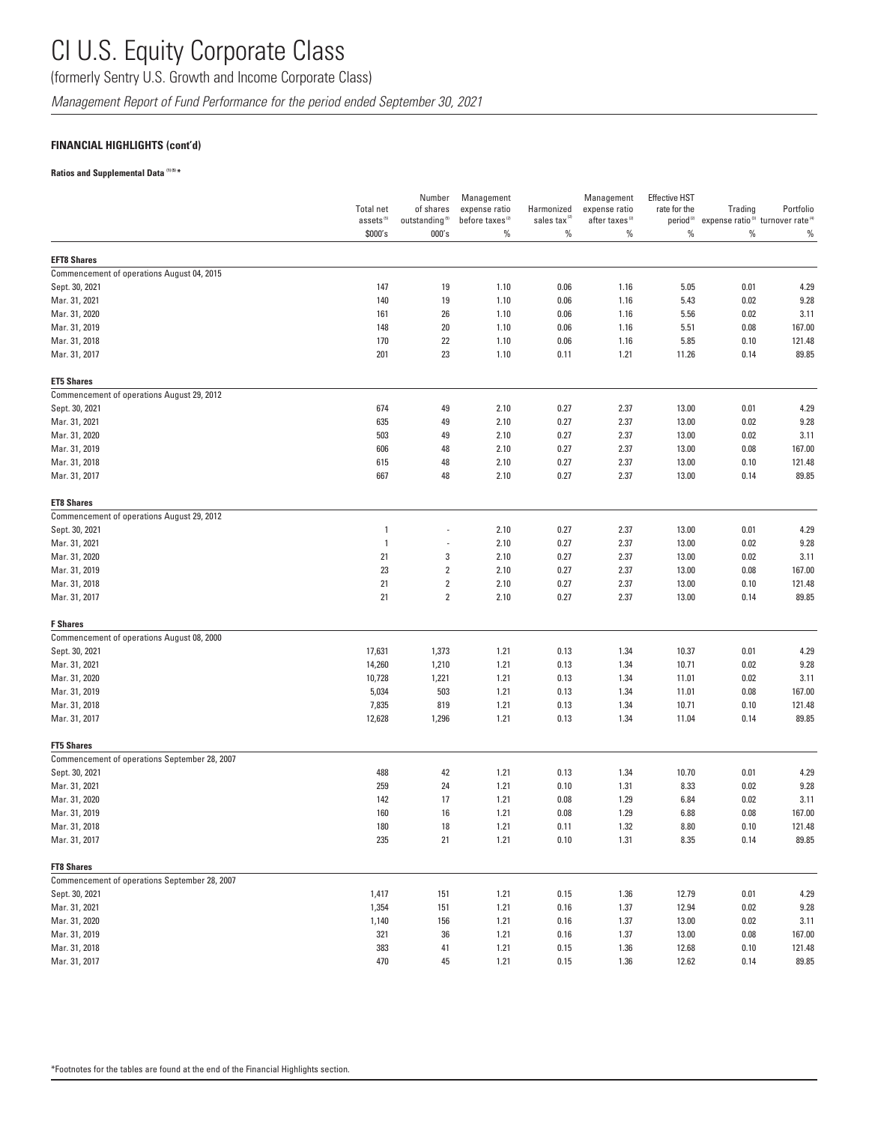(formerly Sentry U.S. Growth and Income Corporate Class)

*Management Report of Fund Performance for the period ended September 30, 2021*

### **FINANCIAL HIGHLIGHTS (cont'd)**

#### **Ratios and Supplemental Data (1) (5) \***

|                                               | <b>Total net</b><br>assets <sup>(5)</sup> | Number<br>of shares<br>outstanding <sup>(5)</sup> | Management<br>expense ratio<br>before taxes <sup>(2)</sup> | Harmonized<br>sales tax <sup>(2)</sup> | Management<br>expense ratio<br>after taxes <sup>(2)</sup> | <b>Effective HST</b><br>rate for the<br>period <sup>(2)</sup> | Trading      | Portfolio<br>expense ratio <sup>(3)</sup> turnover rate <sup>(4)</sup> |
|-----------------------------------------------|-------------------------------------------|---------------------------------------------------|------------------------------------------------------------|----------------------------------------|-----------------------------------------------------------|---------------------------------------------------------------|--------------|------------------------------------------------------------------------|
|                                               | \$000's                                   | 000's                                             | $\%$                                                       | $\%$                                   | $\%$                                                      | $\%$                                                          | $\%$         | $\%$                                                                   |
| <b>EFT8 Shares</b>                            |                                           |                                                   |                                                            |                                        |                                                           |                                                               |              |                                                                        |
| Commencement of operations August 04, 2015    |                                           |                                                   |                                                            |                                        |                                                           |                                                               |              |                                                                        |
| Sept. 30, 2021                                | 147                                       | 19                                                | 1.10                                                       | 0.06                                   | 1.16                                                      | 5.05                                                          | 0.01         | 4.29                                                                   |
| Mar. 31, 2021                                 | 140                                       | 19                                                | 1.10                                                       | 0.06                                   | 1.16                                                      | 5.43                                                          | 0.02         | 9.28                                                                   |
| Mar. 31, 2020                                 | 161                                       | 26                                                | 1.10                                                       | 0.06                                   | 1.16                                                      | 5.56                                                          | 0.02         | 3.11                                                                   |
| Mar. 31, 2019                                 | 148                                       | 20                                                | 1.10                                                       | 0.06                                   | 1.16                                                      | 5.51                                                          | 0.08         | 167.00                                                                 |
| Mar. 31, 2018                                 | 170                                       | 22                                                | 1.10                                                       | 0.06                                   | 1.16                                                      | 5.85                                                          | 0.10         | 121.48                                                                 |
| Mar. 31, 2017                                 | 201                                       | 23                                                | 1.10                                                       | 0.11                                   | 1.21                                                      | 11.26                                                         | 0.14         | 89.85                                                                  |
| <b>ET5 Shares</b>                             |                                           |                                                   |                                                            |                                        |                                                           |                                                               |              |                                                                        |
| Commencement of operations August 29, 2012    |                                           |                                                   |                                                            |                                        |                                                           |                                                               |              |                                                                        |
| Sept. 30, 2021                                | 674                                       | 49                                                | 2.10                                                       | 0.27                                   | 2.37                                                      | 13.00                                                         | 0.01         | 4.29                                                                   |
| Mar. 31, 2021                                 | 635                                       | 49                                                | 2.10                                                       | 0.27                                   | 2.37                                                      | 13.00                                                         | 0.02         | 9.28                                                                   |
| Mar. 31, 2020                                 | 503                                       | 49                                                | 2.10                                                       | 0.27                                   | 2.37                                                      | 13.00                                                         | 0.02         | 3.11                                                                   |
| Mar. 31, 2019                                 | 606                                       | 48                                                | 2.10                                                       | 0.27                                   | 2.37                                                      | 13.00                                                         | 0.08         | 167.00                                                                 |
| Mar. 31, 2018                                 | 615                                       | 48                                                | 2.10                                                       | 0.27                                   | 2.37                                                      | 13.00                                                         | 0.10         | 121.48                                                                 |
| Mar. 31, 2017                                 | 667                                       | 48                                                | 2.10                                                       | 0.27                                   | 2.37                                                      | 13.00                                                         | 0.14         | 89.85                                                                  |
| <b>ET8 Shares</b>                             |                                           |                                                   |                                                            |                                        |                                                           |                                                               |              |                                                                        |
| Commencement of operations August 29, 2012    |                                           |                                                   |                                                            |                                        |                                                           |                                                               |              |                                                                        |
| Sept. 30, 2021                                | $\mathbf{1}$                              |                                                   | 2.10                                                       | 0.27                                   | 2.37                                                      | 13.00                                                         | 0.01         | 4.29                                                                   |
| Mar. 31, 2021                                 | $\overline{1}$                            | ÷,                                                | 2.10                                                       | 0.27                                   | 2.37                                                      | 13.00                                                         | 0.02         | 9.28                                                                   |
| Mar. 31, 2020                                 | 21                                        | 3                                                 | 2.10                                                       | 0.27                                   | 2.37                                                      | 13.00                                                         | 0.02         | 3.11                                                                   |
| Mar. 31, 2019                                 | 23                                        | $\sqrt{2}$                                        | 2.10                                                       | 0.27                                   | 2.37                                                      | 13.00                                                         | 0.08         | 167.00                                                                 |
| Mar. 31, 2018<br>Mar. 31, 2017                | 21<br>21                                  | $\sqrt{2}$<br>$\sqrt{2}$                          | 2.10<br>2.10                                               | 0.27<br>0.27                           | 2.37<br>2.37                                              | 13.00<br>13.00                                                | 0.10<br>0.14 | 121.48<br>89.85                                                        |
| <b>F</b> Shares                               |                                           |                                                   |                                                            |                                        |                                                           |                                                               |              |                                                                        |
| Commencement of operations August 08, 2000    |                                           |                                                   |                                                            |                                        |                                                           |                                                               |              |                                                                        |
| Sept. 30, 2021                                | 17,631                                    | 1,373                                             | 1.21                                                       | 0.13                                   | 1.34                                                      | 10.37                                                         | 0.01         | 4.29                                                                   |
| Mar. 31, 2021                                 | 14,260                                    | 1,210                                             | 1.21                                                       | 0.13                                   | 1.34                                                      | 10.71                                                         | 0.02         | 9.28                                                                   |
| Mar. 31, 2020                                 | 10,728                                    | 1,221                                             | 1.21                                                       | 0.13                                   | 1.34                                                      | 11.01                                                         | 0.02         | 3.11                                                                   |
| Mar. 31, 2019                                 | 5,034                                     | 503                                               | 1.21                                                       | 0.13                                   | 1.34                                                      | 11.01                                                         | 0.08         | 167.00                                                                 |
| Mar. 31, 2018                                 | 7,835                                     | 819                                               | 1.21                                                       | 0.13                                   | 1.34                                                      | 10.71                                                         | 0.10         | 121.48                                                                 |
| Mar. 31, 2017                                 | 12,628                                    | 1,296                                             | 1.21                                                       | 0.13                                   | 1.34                                                      | 11.04                                                         | 0.14         | 89.85                                                                  |
| <b>FT5 Shares</b>                             |                                           |                                                   |                                                            |                                        |                                                           |                                                               |              |                                                                        |
| Commencement of operations September 28, 2007 |                                           |                                                   |                                                            |                                        |                                                           |                                                               |              |                                                                        |
| Sept. 30, 2021                                | 488                                       | 42                                                | 1.21                                                       | 0.13                                   | 1.34                                                      | 10.70                                                         | 0.01         | 4.29                                                                   |
| Mar. 31, 2021                                 | 259                                       | 24                                                | 1.21                                                       | 0.10                                   | 1.31                                                      | 8.33                                                          | 0.02         | 9.28                                                                   |
| Mar. 31, 2020                                 | 142                                       | 17                                                | 1.21                                                       | 0.08                                   | 1.29                                                      | 6.84                                                          | 0.02         | 3.11                                                                   |
| Mar. 31, 2019                                 | 160                                       | 16                                                | 1.21                                                       | 0.08                                   | 1.29                                                      | 6.88                                                          | 0.08         | 167.00                                                                 |
| Mar. 31, 2018                                 | 180                                       | 18                                                | 1.21                                                       | 0.11                                   | 1.32                                                      | 8.80                                                          | 0.10         | 121.48                                                                 |
| Mar. 31, 2017                                 | 235                                       | 21                                                | 1.21                                                       | 0.10                                   | 1.31                                                      | 8.35                                                          | 0.14         | 89.85                                                                  |
| <b>FT8 Shares</b>                             |                                           |                                                   |                                                            |                                        |                                                           |                                                               |              |                                                                        |
| Commencement of operations September 28, 2007 |                                           |                                                   |                                                            |                                        |                                                           |                                                               |              |                                                                        |
| Sept. 30, 2021<br>Mar. 31, 2021               | 1,417<br>1,354                            | 151<br>151                                        | 1.21                                                       | 0.15                                   | 1.36                                                      | 12.79                                                         | 0.01         | 4.29<br>9.28                                                           |
| Mar. 31, 2020                                 | 1,140                                     | 156                                               | 1.21<br>1.21                                               | 0.16<br>0.16                           | 1.37<br>1.37                                              | 12.94<br>13.00                                                | 0.02<br>0.02 | 3.11                                                                   |
| Mar. 31, 2019                                 | 321                                       | 36                                                | 1.21                                                       | 0.16                                   | 1.37                                                      | 13.00                                                         | 0.08         | 167.00                                                                 |
| Mar. 31, 2018                                 | 383                                       | 41                                                | 1.21                                                       | 0.15                                   | 1.36                                                      | 12.68                                                         | 0.10         | 121.48                                                                 |
| Mar. 31, 2017                                 | 470                                       | 45                                                | 1.21                                                       | 0.15                                   | 1.36                                                      | 12.62                                                         | 0.14         | 89.85                                                                  |
|                                               |                                           |                                                   |                                                            |                                        |                                                           |                                                               |              |                                                                        |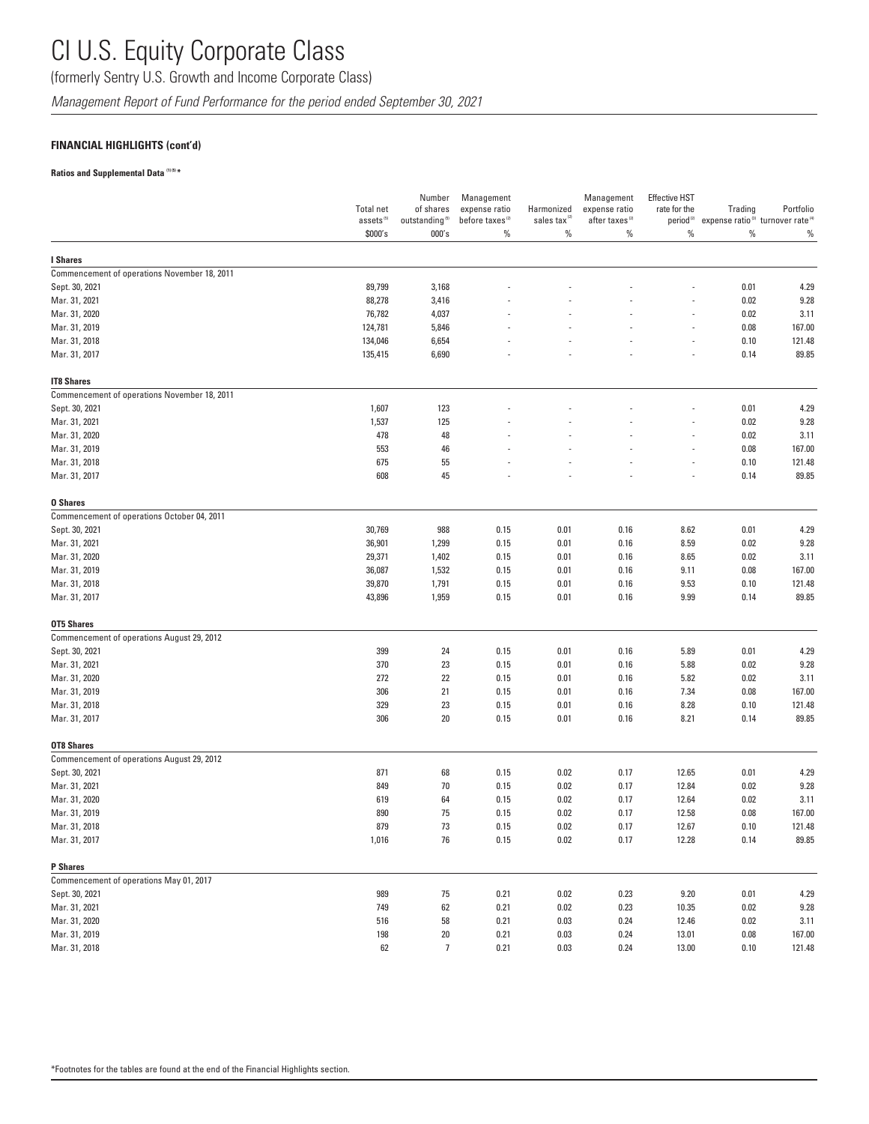(formerly Sentry U.S. Growth and Income Corporate Class)

*Management Report of Fund Performance for the period ended September 30, 2021*

### **FINANCIAL HIGHLIGHTS (cont'd)**

#### **Ratios and Supplemental Data (1) (5) \***

|                                              | <b>Total net</b><br>assets <sup>(5)</sup> | Number<br>of shares<br>outstanding <sup>(5)</sup> | Management<br>expense ratio<br>before taxes <sup>(2)</sup> | Harmonized<br>sales tax <sup>12</sup> | Management<br>expense ratio<br>after taxes <sup>(2)</sup> | <b>Effective HST</b><br>rate for the<br>period <sup>(2)</sup> | Trading<br>expense ratio <sup>(3)</sup> turnover rate <sup>(4)</sup> | Portfolio |
|----------------------------------------------|-------------------------------------------|---------------------------------------------------|------------------------------------------------------------|---------------------------------------|-----------------------------------------------------------|---------------------------------------------------------------|----------------------------------------------------------------------|-----------|
|                                              | \$000's                                   | 000's                                             | $\%$                                                       | $\%$                                  | $\%$                                                      | $\%$                                                          | $\%$                                                                 | $\%$      |
| I Shares                                     |                                           |                                                   |                                                            |                                       |                                                           |                                                               |                                                                      |           |
| Commencement of operations November 18, 2011 |                                           |                                                   |                                                            |                                       |                                                           |                                                               |                                                                      |           |
| Sept. 30, 2021                               | 89,799                                    | 3,168                                             |                                                            |                                       |                                                           |                                                               | 0.01                                                                 | 4.29      |
| Mar. 31, 2021                                | 88,278                                    | 3,416                                             |                                                            |                                       |                                                           |                                                               | 0.02                                                                 | 9.28      |
| Mar. 31, 2020                                | 76,782                                    | 4,037                                             |                                                            |                                       |                                                           |                                                               | 0.02                                                                 | 3.11      |
|                                              | 124,781                                   |                                                   |                                                            |                                       |                                                           |                                                               | 0.08                                                                 | 167.00    |
| Mar. 31, 2019                                |                                           | 5,846                                             |                                                            |                                       |                                                           |                                                               |                                                                      |           |
| Mar. 31, 2018                                | 134,046                                   | 6,654                                             |                                                            |                                       |                                                           | L,                                                            | 0.10                                                                 | 121.48    |
| Mar. 31, 2017                                | 135,415                                   | 6,690                                             |                                                            |                                       |                                                           |                                                               | 0.14                                                                 | 89.85     |
| <b>IT8 Shares</b>                            |                                           |                                                   |                                                            |                                       |                                                           |                                                               |                                                                      |           |
| Commencement of operations November 18, 2011 |                                           |                                                   |                                                            |                                       |                                                           |                                                               |                                                                      |           |
| Sept. 30, 2021                               | 1,607                                     | 123                                               |                                                            |                                       |                                                           |                                                               | 0.01                                                                 | 4.29      |
| Mar. 31, 2021                                | 1,537                                     | 125                                               |                                                            |                                       |                                                           |                                                               | 0.02                                                                 | 9.28      |
| Mar. 31, 2020                                | 478                                       | 48                                                |                                                            |                                       |                                                           |                                                               | 0.02                                                                 | 3.11      |
| Mar. 31, 2019                                | 553                                       | 46                                                |                                                            |                                       |                                                           |                                                               | 0.08                                                                 | 167.00    |
| Mar. 31, 2018                                | 675                                       | 55                                                |                                                            |                                       |                                                           |                                                               | 0.10                                                                 | 121.48    |
| Mar. 31, 2017                                | 608                                       | 45                                                |                                                            |                                       |                                                           | ÷,                                                            | 0.14                                                                 | 89.85     |
| <b>0 Shares</b>                              |                                           |                                                   |                                                            |                                       |                                                           |                                                               |                                                                      |           |
| Commencement of operations October 04, 2011  |                                           |                                                   |                                                            |                                       |                                                           |                                                               |                                                                      |           |
| Sept. 30, 2021                               | 30,769                                    | 988                                               | 0.15                                                       | 0.01                                  | 0.16                                                      | 8.62                                                          | 0.01                                                                 | 4.29      |
| Mar. 31, 2021                                | 36,901                                    | 1,299                                             | 0.15                                                       | 0.01                                  | 0.16                                                      | 8.59                                                          | 0.02                                                                 | 9.28      |
| Mar. 31, 2020                                | 29,371                                    | 1,402                                             | 0.15                                                       | 0.01                                  | 0.16                                                      | 8.65                                                          | 0.02                                                                 | 3.11      |
| Mar. 31, 2019                                | 36,087                                    | 1,532                                             | 0.15                                                       | 0.01                                  | 0.16                                                      | 9.11                                                          | 0.08                                                                 | 167.00    |
| Mar. 31, 2018                                | 39,870                                    |                                                   |                                                            |                                       | 0.16                                                      |                                                               | 0.10                                                                 | 121.48    |
| Mar. 31, 2017                                | 43,896                                    | 1,791<br>1,959                                    | 0.15<br>0.15                                               | 0.01<br>0.01                          | 0.16                                                      | 9.53<br>9.99                                                  | 0.14                                                                 | 89.85     |
| <b>OT5 Shares</b>                            |                                           |                                                   |                                                            |                                       |                                                           |                                                               |                                                                      |           |
| Commencement of operations August 29, 2012   |                                           |                                                   |                                                            |                                       |                                                           |                                                               |                                                                      |           |
| Sept. 30, 2021                               | 399                                       | 24                                                | 0.15                                                       | 0.01                                  | 0.16                                                      | 5.89                                                          | 0.01                                                                 | 4.29      |
| Mar. 31, 2021                                | 370                                       | 23                                                | 0.15                                                       | 0.01                                  | 0.16                                                      | 5.88                                                          | 0.02                                                                 | 9.28      |
| Mar. 31, 2020                                | 272                                       | 22                                                | 0.15                                                       | 0.01                                  | 0.16                                                      | 5.82                                                          | 0.02                                                                 | 3.11      |
| Mar. 31, 2019                                | 306                                       | 21                                                |                                                            | 0.01                                  |                                                           | 7.34                                                          | 0.08                                                                 | 167.00    |
|                                              |                                           |                                                   | 0.15                                                       |                                       | 0.16                                                      |                                                               |                                                                      |           |
| Mar. 31, 2018                                | 329                                       | 23                                                | 0.15                                                       | 0.01                                  | 0.16                                                      | 8.28                                                          | 0.10                                                                 | 121.48    |
| Mar. 31, 2017                                | 306                                       | 20                                                | 0.15                                                       | 0.01                                  | 0.16                                                      | 8.21                                                          | 0.14                                                                 | 89.85     |
| <b>OT8 Shares</b>                            |                                           |                                                   |                                                            |                                       |                                                           |                                                               |                                                                      |           |
| Commencement of operations August 29, 2012   |                                           |                                                   |                                                            |                                       |                                                           |                                                               |                                                                      |           |
| Sept. 30, 2021                               | 871                                       | 68                                                | 0.15                                                       | 0.02                                  | 0.17                                                      | 12.65                                                         | 0.01                                                                 | 4.29      |
| Mar. 31, 2021                                | 849                                       | 70                                                | 0.15                                                       | 0.02                                  | 0.17                                                      | 12.84                                                         | 0.02                                                                 | 9.28      |
| Mar. 31, 2020                                | 619                                       | 64                                                | 0.15                                                       | 0.02                                  | 0.17                                                      | 12.64                                                         | 0.02                                                                 | 3.11      |
| Mar. 31, 2019                                | 890                                       | 75                                                | 0.15                                                       | 0.02                                  | 0.17                                                      | 12.58                                                         | 0.08                                                                 | 167.00    |
| Mar. 31, 2018                                | 879                                       | 73                                                | 0.15                                                       | 0.02                                  | 0.17                                                      | 12.67                                                         | 0.10                                                                 | 121.48    |
| Mar. 31, 2017                                | 1,016                                     | 76                                                | 0.15                                                       | 0.02                                  | 0.17                                                      | 12.28                                                         | 0.14                                                                 | 89.85     |
| P Shares                                     |                                           |                                                   |                                                            |                                       |                                                           |                                                               |                                                                      |           |
| Commencement of operations May 01, 2017      |                                           |                                                   |                                                            |                                       |                                                           |                                                               |                                                                      |           |
| Sept. 30, 2021                               | 989                                       | 75                                                | 0.21                                                       | 0.02                                  | 0.23                                                      | 9.20                                                          | 0.01                                                                 | 4.29      |
| Mar. 31, 2021                                | 749                                       | 62                                                | 0.21                                                       | 0.02                                  | 0.23                                                      | 10.35                                                         | 0.02                                                                 | 9.28      |
| Mar. 31, 2020                                | 516                                       | 58                                                | 0.21                                                       | 0.03                                  | 0.24                                                      | 12.46                                                         | 0.02                                                                 | 3.11      |
| Mar. 31, 2019                                | 198                                       | 20                                                | 0.21                                                       | 0.03                                  | 0.24                                                      | 13.01                                                         | 0.08                                                                 | 167.00    |
| Mar. 31, 2018                                | 62                                        | $\overline{7}$                                    | 0.21                                                       | 0.03                                  | 0.24                                                      | 13.00                                                         | 0.10                                                                 | 121.48    |
|                                              |                                           |                                                   |                                                            |                                       |                                                           |                                                               |                                                                      |           |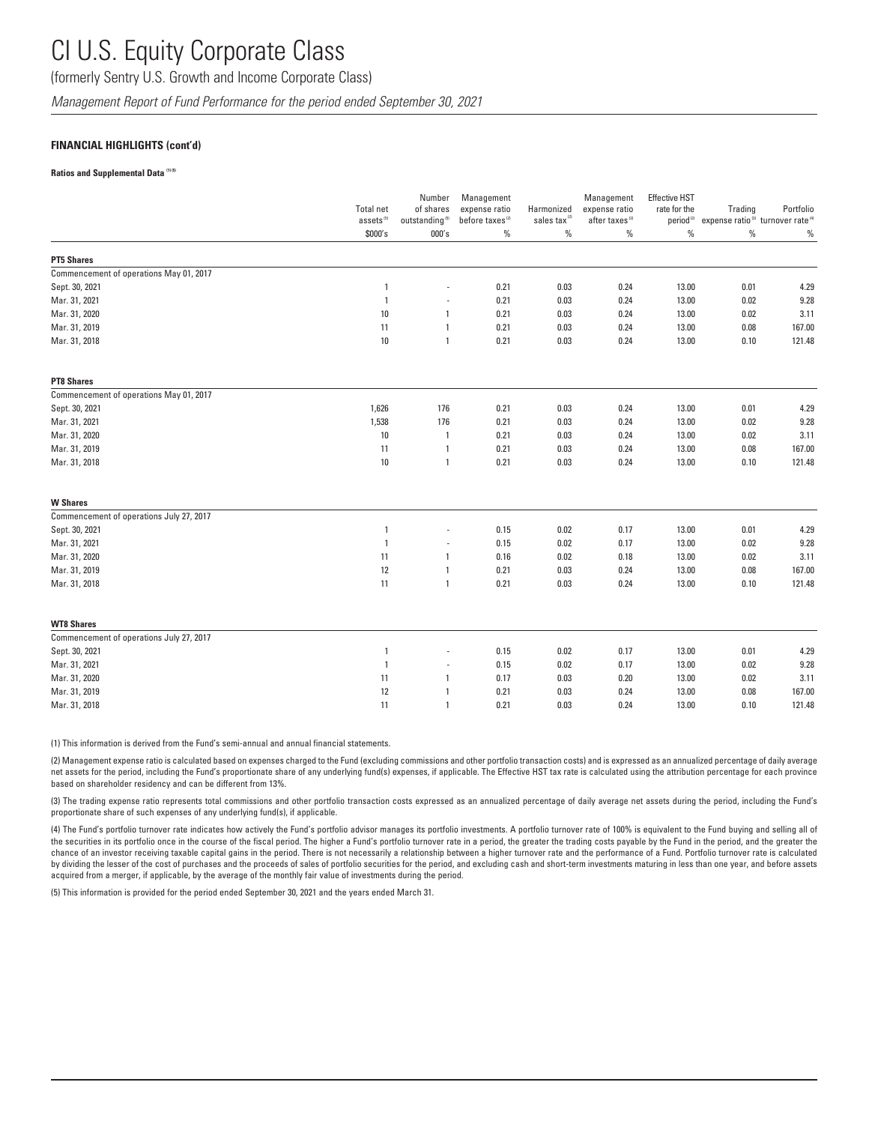(formerly Sentry U.S. Growth and Income Corporate Class)

*Management Report of Fund Performance for the period ended September 30, 2021*

#### **FINANCIAL HIGHLIGHTS (cont'd)**

#### **Ratios and Supplemental Data (1) (5)**

|                                          | <b>Total net</b><br>assets <sup>(5)</sup> | Number<br>of shares<br>outstanding <sup>(5)</sup> | Management<br>expense ratio<br>before taxes <sup>(2)</sup> | Harmonized<br>sales tax <sup>12</sup> | Management<br>expense ratio<br>after taxes <sup>(2)</sup> | <b>Effective HST</b><br>rate for the<br>period <sup>(2)</sup> | Trading<br>expense ratio <sup>(3)</sup> turnover rate <sup>(4)</sup> | Portfolio |
|------------------------------------------|-------------------------------------------|---------------------------------------------------|------------------------------------------------------------|---------------------------------------|-----------------------------------------------------------|---------------------------------------------------------------|----------------------------------------------------------------------|-----------|
|                                          | \$000's                                   | 000's                                             | $\%$                                                       | $\%$                                  | $\%$                                                      | $\%$                                                          | $\%$                                                                 | $\%$      |
| <b>PT5 Shares</b>                        |                                           |                                                   |                                                            |                                       |                                                           |                                                               |                                                                      |           |
| Commencement of operations May 01, 2017  |                                           |                                                   |                                                            |                                       |                                                           |                                                               |                                                                      |           |
| Sept. 30, 2021                           | $\mathbf{1}$                              | ÷,                                                | 0.21                                                       | 0.03                                  | 0.24                                                      | 13.00                                                         | 0.01                                                                 | 4.29      |
| Mar. 31, 2021                            | $\mathbf{1}$                              | $\overline{\phantom{a}}$                          | 0.21                                                       | 0.03                                  | 0.24                                                      | 13.00                                                         | 0.02                                                                 | 9.28      |
| Mar. 31, 2020                            | 10                                        | $\mathbf{1}$                                      | 0.21                                                       | 0.03                                  | 0.24                                                      | 13.00                                                         | 0.02                                                                 | 3.11      |
| Mar. 31, 2019                            | 11                                        | 1                                                 | 0.21                                                       | 0.03                                  | 0.24                                                      | 13.00                                                         | 0.08                                                                 | 167.00    |
| Mar. 31, 2018                            | 10                                        | $\mathbf{1}$                                      | 0.21                                                       | 0.03                                  | 0.24                                                      | 13.00                                                         | 0.10                                                                 | 121.48    |
| <b>PT8 Shares</b>                        |                                           |                                                   |                                                            |                                       |                                                           |                                                               |                                                                      |           |
| Commencement of operations May 01, 2017  |                                           |                                                   |                                                            |                                       |                                                           |                                                               |                                                                      |           |
| Sept. 30, 2021                           | 1,626                                     | 176                                               | 0.21                                                       | 0.03                                  | 0.24                                                      | 13.00                                                         | 0.01                                                                 | 4.29      |
| Mar. 31, 2021                            | 1,538                                     | 176                                               | 0.21                                                       | 0.03                                  | 0.24                                                      | 13.00                                                         | 0.02                                                                 | 9.28      |
| Mar. 31, 2020                            | 10                                        | $\mathbf{1}$                                      | 0.21                                                       | 0.03                                  | 0.24                                                      | 13.00                                                         | 0.02                                                                 | 3.11      |
| Mar. 31, 2019                            | 11                                        | $\mathbf{1}$                                      | 0.21                                                       | 0.03                                  | 0.24                                                      | 13.00                                                         | 0.08                                                                 | 167.00    |
| Mar. 31, 2018                            | 10                                        | $\mathbf{1}$                                      | 0.21                                                       | 0.03                                  | 0.24                                                      | 13.00                                                         | 0.10                                                                 | 121.48    |
| <b>W</b> Shares                          |                                           |                                                   |                                                            |                                       |                                                           |                                                               |                                                                      |           |
| Commencement of operations July 27, 2017 |                                           |                                                   |                                                            |                                       |                                                           |                                                               |                                                                      |           |
| Sept. 30, 2021                           | $\mathbf{1}$                              | ÷,                                                | 0.15                                                       | 0.02                                  | 0.17                                                      | 13.00                                                         | 0.01                                                                 | 4.29      |
| Mar. 31, 2021                            | $\overline{1}$                            |                                                   | 0.15                                                       | 0.02                                  | 0.17                                                      | 13.00                                                         | 0.02                                                                 | 9.28      |
| Mar. 31, 2020                            | 11                                        | $\mathbf{1}$                                      | 0.16                                                       | 0.02                                  | 0.18                                                      | 13.00                                                         | 0.02                                                                 | 3.11      |
| Mar. 31, 2019                            | 12                                        | 1                                                 | 0.21                                                       | 0.03                                  | 0.24                                                      | 13.00                                                         | 0.08                                                                 | 167.00    |
| Mar. 31, 2018                            | 11                                        | $\mathbf{1}$                                      | 0.21                                                       | 0.03                                  | 0.24                                                      | 13.00                                                         | 0.10                                                                 | 121.48    |
| <b>WT8 Shares</b>                        |                                           |                                                   |                                                            |                                       |                                                           |                                                               |                                                                      |           |
| Commencement of operations July 27, 2017 |                                           |                                                   |                                                            |                                       |                                                           |                                                               |                                                                      |           |
| Sept. 30, 2021                           | $\mathbf{1}$                              |                                                   | 0.15                                                       | 0.02                                  | 0.17                                                      | 13.00                                                         | 0.01                                                                 | 4.29      |
| Mar. 31, 2021                            | $\overline{1}$                            | $\overline{\phantom{a}}$                          | 0.15                                                       | 0.02                                  | 0.17                                                      | 13.00                                                         | 0.02                                                                 | 9.28      |
| Mar. 31, 2020                            | 11                                        | 1                                                 | 0.17                                                       | 0.03                                  | 0.20                                                      | 13.00                                                         | 0.02                                                                 | 3.11      |
| Mar. 31, 2019                            | 12                                        | $\mathbf{1}$                                      | 0.21                                                       | 0.03                                  | 0.24                                                      | 13.00                                                         | 0.08                                                                 | 167.00    |
| Mar. 31, 2018                            | 11                                        | $\mathbf{1}$                                      | 0.21                                                       | 0.03                                  | 0.24                                                      | 13.00                                                         | 0.10                                                                 | 121.48    |

(1) This information is derived from the Fund's semi-annual and annual financial statements.

(2) Management expense ratio is calculated based on expenses charged to the Fund (excluding commissions and other portfolio transaction costs) and is expressed as an annualized percentage of daily average net assets for the period, including the Fund's proportionate share of any underlying fund(s) expenses, if applicable. The Effective HST tax rate is calculated using the attribution percentage for each province based on shareholder residency and can be different from 13%.

(3) The trading expense ratio represents total commissions and other portfolio transaction costs expressed as an annualized percentage of daily average net assets during the period, including the Fund's proportionate share of such expenses of any underlying fund(s), if applicable.

(4) The Fund's portfolio turnover rate indicates how actively the Fund's portfolio advisor manages its portfolio investments. A portfolio turnover rate of 100% is equivalent to the Fund buying and selling all of the securities in its portfolio once in the course of the fiscal period. The higher a Fund's portfolio turnover rate in a period, the greater the trading costs payable by the Fund in the period, and the greater the chance of an investor receiving taxable capital gains in the period. There is not necessarily a relationship between a higher turnover rate and the performance of a Fund. Portfolio turnover rate is calculated by dividing the lesser of the cost of purchases and the proceeds of sales of portfolio securities for the period, and excluding cash and short-term investments maturing in less than one year, and before assets acquired from a merger, if applicable, by the average of the monthly fair value of investments during the period.

(5) This information is provided for the period ended September 30, 2021 and the years ended March 31.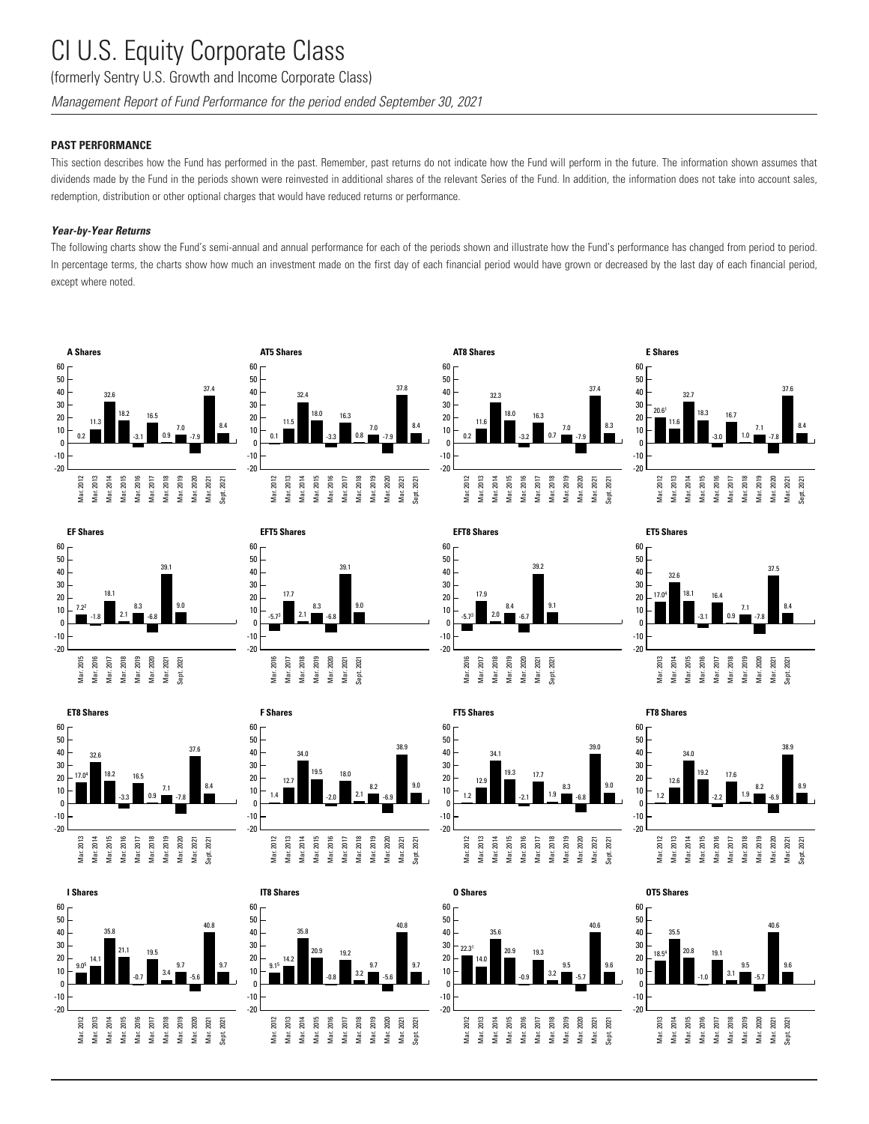(formerly Sentry U.S. Growth and Income Corporate Class)

*Management Report of Fund Performance for the period ended September 30, 2021*

### **PAST PERFORMANCE**

This section describes how the Fund has performed in the past. Remember, past returns do not indicate how the Fund will perform in the future. The information shown assumes that dividends made by the Fund in the periods shown were reinvested in additional shares of the relevant Series of the Fund. In addition, the information does not take into account sales, redemption, distribution or other optional charges that would have reduced returns or performance.

#### *Year-by-Year Returns*

The following charts show the Fund's semi-annual and annual performance for each of the periods shown and illustrate how the Fund's performance has changed from period to period. In percentage terms, the charts show how much an investment made on the first day of each financial period would have grown or decreased by the last day of each financial period, except where noted.































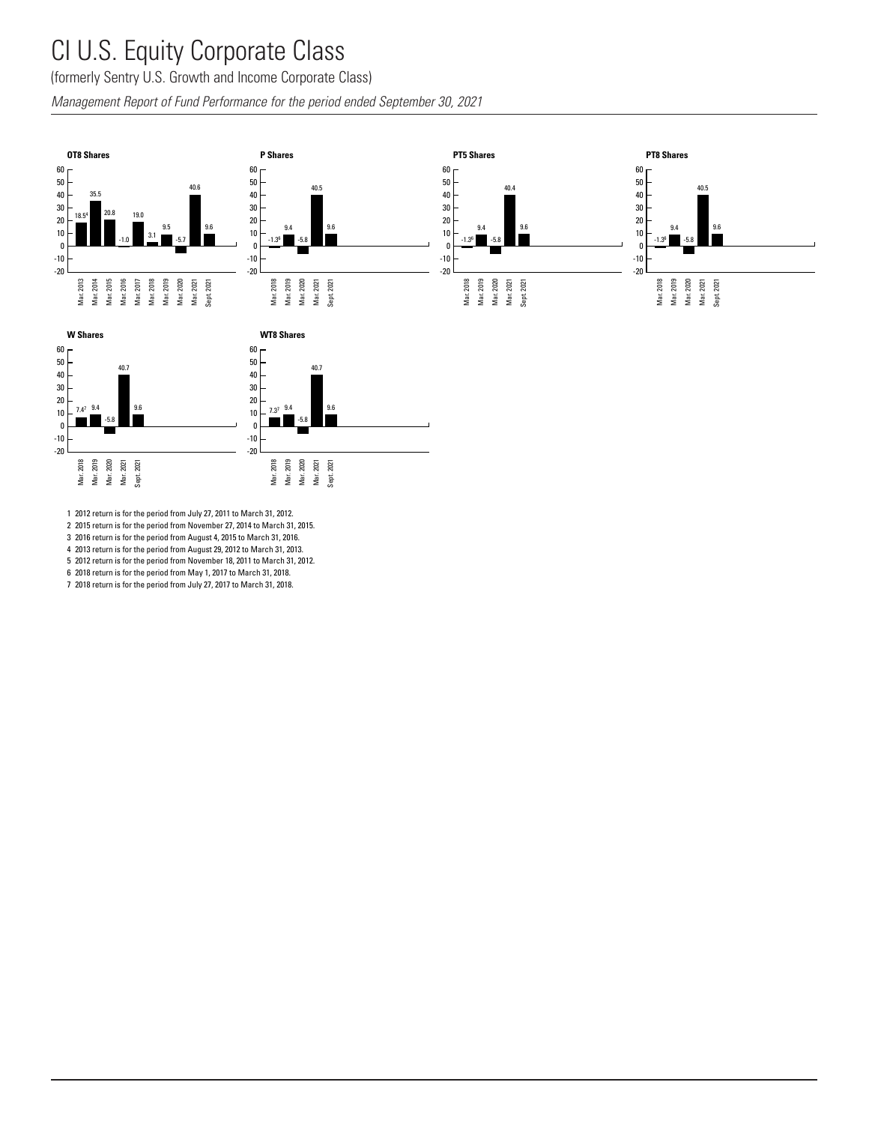#### CI U.S. Equity Corporate Class 2<br>1 | 1 | C<br>1 | 1 | C .<br>ıtv  $\sim$ mor: roto Clo -0.8

(formerly Sentry U.S. Growth and Income Corporate Class) C(

Management Report of Fund Performance for the period ended September 30, 2021<br> Management Report of Fund Performance for the period ended Septem.<br>.  $\frac{1}{2}$ 

Mar. 2018 Mar. 2019 Mar. 2020

-20

Mar. 2021 Sept. 2021





Mar. 2018 Mar. 2019 Mar. 2020 Mar. 2021 Sept. 2021

-20

2 2015 return is for the period from November 27, 2014 to March 31, 2015.

3 2016 return is for the period from August 4, 2015 to March 31, 2016.

4 2013 return is for the period from August 29, 2012 to March 31, 2013.

5 2012 return is for the period from November 18, 2011 to March 31, 2012.

6 2018 return is for the period from May 1, 2017 to March 31, 2018. 7 2018 return is for the period from July 27, 2017 to March 31, 2018.